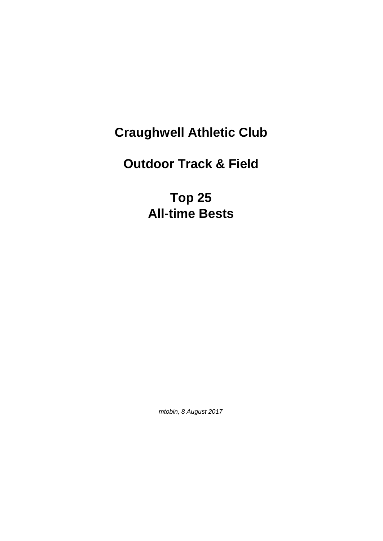## **Craughwell Athletic Club**

## **Outdoor Track & Field**

**Top 25 All-time Bests**

mtobin, 8 August 2017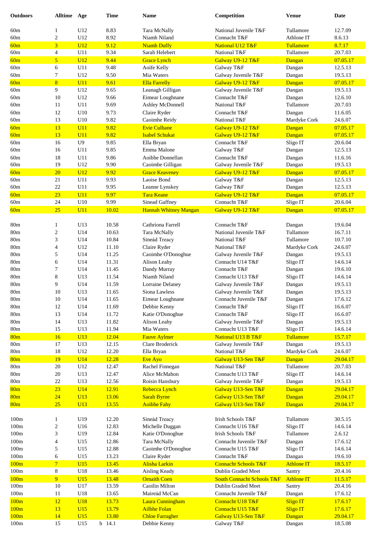| <b>Outdoors</b>                    | Alltime Age              |                   | <b>Time</b>    | <b>Name</b>                           | Competition                                           | <b>Venue</b>                | <b>Date</b>         |
|------------------------------------|--------------------------|-------------------|----------------|---------------------------------------|-------------------------------------------------------|-----------------------------|---------------------|
| 60m                                |                          | U12               | 8.83           | Tara McNally                          | National Juvenile T&F                                 | Tullamore                   | 12.7.09             |
| 60m                                | 1<br>$\sqrt{2}$          | U12               | 8.92           | Niamh Niland                          | Connacht T&F                                          | Athlone IT                  | 8.6.13              |
| 60m                                | $\overline{3}$           | U12               | 9.12           | <b>Niamh Duffy</b>                    | National U12 T&F                                      | Tullamore                   | 8.7.17              |
| 60m                                | $\overline{4}$           | U11               | 9.34           | Sarah Helebert                        | National T&F                                          | Tullamore                   | 20.7.03             |
| 60m                                | 5                        | U12               | 9.44           | <b>Grace Lynch</b>                    | Galway U9-12 T&F                                      | Dangan                      | 07.05.17            |
| 60m                                | 6                        | U11               | 9.48           | Aoife Kelly                           | Galway T&F                                            | Dangan                      | 12.5.13             |
| 60m                                | 7                        | U12               | 9.50           | Mia Waters                            | Galway Juvenile T&F                                   | Dangan                      | 19.5.13             |
| 60m                                | 8                        | U11               | 9.61           | <b>Ella Farrelly</b>                  | Galway U9-12 T&F                                      | Dangan                      | 07.05.17            |
| 60m                                | 9                        | U12               | 9.65           | Leanagh Gilligan                      | Galway Juvenile T&F                                   | Dangan                      | 19.5.13             |
| 60m                                | 10                       | U12               | 9.66           | Eimear Loughnane                      | Connacht T&F                                          | Dangan                      | 12.6.10             |
| 60m                                | 11                       | U11               | 9.69           | Ashley McDonnell                      | National T&F                                          | Tullamore                   | 20.7.03             |
| 60m                                | 12                       | U10               | 9.73           | Claire Ryder                          | Connacht T&F                                          | Dangan                      | 11.6.05             |
| 60m                                | 13                       | U10               | 9.82           | Caoimhe Reidy                         | National T&F                                          | Mardyke Cork                | 24.6.07             |
| 60m                                | 13                       | U11               | 9.82           | <b>Evie Culhane</b>                   | Galway U9-12 T&F                                      | Dangan                      | 07.05.17            |
| 60m                                | 13                       | U11               | 9.82           | <b>Isabel Schukat</b>                 | Galway U9-12 T&F                                      | Dangan                      | 07.05.17            |
| 60m                                | 16                       | U <sub>9</sub>    | 9.85           | Ella Bryan                            | Connacht T&F                                          | Sligo IT                    | 20.6.04             |
| 60m                                | 16                       | U11               | 9.85<br>9.86   | Emma Malone<br>Aoibhe Donnellan       | Galway T&F<br>Connacht T&F                            | Dangan                      | 12.5.13             |
| 60m<br>60m                         | 18<br>19                 | U11<br>U12        | 9.90           | Caoimhe Gilligan                      | Galway Juvenile T&F                                   | Dangan<br>Dangan            | 11.6.16<br>19.5.13  |
| 60m                                | 20                       | U12               | 9.92           | <b>Grace Keaveney</b>                 | Galway U9-12 T&F                                      | Dangan                      | 07.05.17            |
| 60m                                | 21                       | U11               | 9.93           | Laoise Bond                           | Galway T&F                                            | Dangan                      | 12.5.13             |
| 60m                                | $22\,$                   | U11               | 9.95           | Leanne Lynskey                        | Galway T&F                                            | Dangan                      | 12.5.13             |
| 60m                                | 23                       | U11               | 9.97           | <b>Tara Keane</b>                     | Galway U9-12 T&F                                      | Dangan                      | 07.05.17            |
| 60m                                | 24                       | U10               | 9.99           | Sinead Gaffney                        | Connacht T&F                                          | Sligo IT                    | 20.6.04             |
| 60m                                | 25                       | U11               | 10.02          | <b>Hannah Whitney Mangan</b>          | Galway U9-12 T&F                                      | Dangan                      | 07.05.17            |
|                                    |                          |                   |                |                                       |                                                       |                             |                     |
| 80 <sub>m</sub>                    | 1                        | U13               | 10.58          | Cathriona Farrell                     | Connacht T&F                                          | Dangan                      | 19.6.04             |
| 80 <sub>m</sub>                    | $\boldsymbol{2}$         | U14               | 10.63          | Tara McNally                          | National Juvenile T&F                                 | Tullamore                   | 16.7.11             |
| 80 <sub>m</sub>                    | 3                        | U14               | 10.84          | Sineád Treacy                         | National T&F                                          | Tullamore                   | 10.7.10             |
| 80 <sub>m</sub>                    | $\overline{\mathcal{L}}$ | U12               | 11.10          | Claire Ryder                          | National T&F                                          | Mardyke Cork                | 24.6.07             |
| 80 <sub>m</sub>                    | 5                        | U14               | 11.25          | Caoimhe O'Donoghue                    | Galway Juvenile T&F                                   | Dangan                      | 19.5.13             |
| 80 <sub>m</sub><br>80 <sub>m</sub> | 6<br>7                   | U14<br>U14        | 11.31<br>11.45 | Alison Leahy<br>Dandy Murray          | Connacht U14 T&F<br>Connacht T&F                      | Sligo IT                    | 14.6.14<br>19.6.10  |
| 80 <sub>m</sub>                    | 8                        | U13               | 11.54          | Niamh Niland                          | Connacht U13 T&F                                      | Dangan<br>Sligo IT          | 14.6.14             |
| 80 <sub>m</sub>                    | 9                        | U14               | 11.59          | <b>Lorraine Delaney</b>               | Galway Juvenile T&F                                   | Dangan                      | 19.5.13             |
| 80 <sub>m</sub>                    | 10                       | U13               | 11.65          | Siona Lawless                         | Galway Juvenile T&F                                   | Dangan                      | 19.5.13             |
| 80 <sub>m</sub>                    | 10                       | U14               | 11.65          | Eimear Loughnane                      | Connacht Juvenile T&F                                 | Dangan                      | 17.6.12             |
| 80m                                | 12                       | U14               | 11.69          | Debbie Kenny                          | Connacht T&F                                          | Sligo IT                    | 16.6.07             |
| 80m                                | 13                       | U14               | 11.72          | Katie O'Donoghue                      | Connacht T&F                                          | Sligo IT                    | 16.6.07             |
| 80m                                | 14                       | U13               | 11.82          | Alison Leahy                          | Galway Juvenile T&F                                   | Dangan                      | 19.5.13             |
| 80m                                | 15                       | U13               | 11.94          | Mia Waters                            | Connacht U13 T&F                                      | Sligo IT                    | 14.6.14             |
| 80 <sub>m</sub>                    | <b>16</b>                | U13               | 12.04          | <b>Fauve Aylmer</b>                   | National U13 B T&F                                    | Tullamore                   | 15.7.17             |
| 80m                                | 17                       | U13               | 12.15          | Clare Broderick                       | Galway Juvenile T&F                                   | Dangan                      | 19.5.13             |
| 80m                                | 18                       | U12               | 12.20          | Ella Bryan                            | National T&F                                          | Mardyke Cork                | 24.6.07             |
| 80 <sub>m</sub><br>80m             | 19<br>20                 | <b>U14</b><br>U12 | 12.28          | Eve Ayo<br>Rachel Finnegan            | Galway U13-Sen T&F<br>National T&F                    | Dangan<br>Tullamore         | 29.04.17<br>20.7.03 |
| 80 <sub>m</sub>                    | $20\,$                   | U13               | 12.47<br>12.47 | Alice McMahon                         | Connacht U13 T&F                                      | Sligo IT                    | 14.6.14             |
| 80 <sub>m</sub>                    | $22\,$                   | U13               | 12.56          | Roisin Hansbury                       | Galway Juvenile T&F                                   | Dangan                      | 19.5.13             |
| 80 <sub>m</sub>                    | 23                       | U14               | 12.91          | Rebecca Lynch                         | Galway U13-Sen T&F                                    | Dangan                      | 29.04.17            |
| 80 <sub>m</sub>                    | 24                       | U13               | 13.06          | <b>Sarah Byrne</b>                    | Galway U13-Sen T&F                                    | Dangan                      | 29.04.17            |
| 80 <sub>m</sub>                    | 25                       | U13               | 13.55          | <b>Aoibhe Fahy</b>                    | Galway U13-Sen T&F                                    | Dangan                      | 29.04.17            |
|                                    |                          |                   |                |                                       |                                                       |                             |                     |
| $100\mathrm{m}$                    | $\mathbf{1}$             | U19               | 12.20          | Sineád Treacy                         | Irish Schools T&F                                     | Tullamore                   | 30.5.15             |
| 100m                               | 2                        | U16               | 12.83          | Michelle Duggan                       | Connacht U16 T&F                                      | Sligo IT                    | 14.6.14             |
| 100m                               | 3                        | U19               | 12.84          | Katie O'Donoghue                      | Irish Schools T&F                                     | Tullamore                   | 2.6.12              |
| $100\mathrm{m}$                    | 4                        | U15               | 12.86          | Tara McNally                          | Connacht Juvenile T&F                                 | Dangan                      | 17.6.12             |
| 100m                               | 5                        | U15               | 12.88          | Caoimhe O'Donoghue                    | Connacht U15 T&F                                      | Sligo IT                    | 14.6.14             |
| 100m                               | 6                        | U15               | 13.23          | Claire Ryder                          | Connacht T&F                                          | Dangan                      | 19.6.10             |
| 100m<br>$100\mathrm{m}$            | $\overline{\tau}$<br>8   | U15<br>U18        | 13.45<br>13.46 | <b>Alisha Larkin</b><br>Aisling Keady | <b>Connacht Schools T&amp;F</b><br>Dublin Graded Meet | <b>Athlone IT</b><br>Santry | 18.5.17<br>20.4.16  |
| 100m                               | 9 <sup>°</sup>           | U15               | 13.48          | <b>Ornaith Coen</b>                   | <b>South Connacht Schools T&amp;F</b>                 | <b>Athlone IT</b>           | 11.5.17             |
| 100m                               | 10                       | U17               | 13.59          | Caoilin Milton                        | Dublin Graded Meet                                    | Santry                      | 20.4.16             |
| 100m                               | 11                       | U18               | 13.65          | Maireád McCan                         | Connacht Juvenile T&F                                 | Dangan                      | 17.6.12             |
| 100m                               | <sup>12</sup>            | <b>U18</b>        | 13.73          | Laura Cunningham                      | Connacht U18 T&F                                      | Sligo IT                    | 17.6.17             |
| 100m                               | 13                       | U15               | 13.79          | <b>Ailbhe Folan</b>                   | Connacht U15 T&F                                      | Sligo IT                    | 17.6.17             |
| 100m                               | 14                       | U15               | 13.80          | <b>Chloe Farragher</b>                | Galway U13-Sen T&F                                    | Dangan                      | 29.04.17            |
| 100m                               | 15                       | U15               | h 14.1         | Debbie Kenny                          | Galway T&F                                            | Dangan                      | 18.5.08             |
|                                    |                          |                   |                |                                       |                                                       |                             |                     |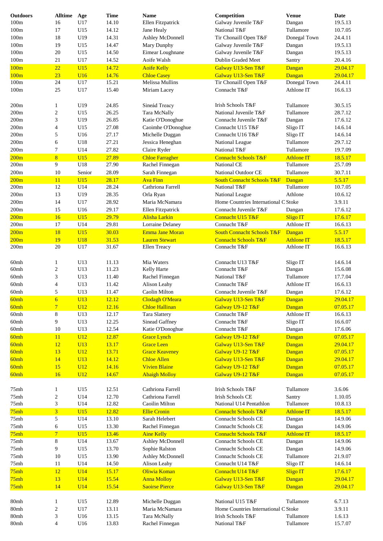| <b>Outdoors</b> | <b>Alltime</b>           | Age             | <b>Time</b> | <b>Name</b>            | Competition                           | <b>Venue</b>      | <b>Date</b> |
|-----------------|--------------------------|-----------------|-------------|------------------------|---------------------------------------|-------------------|-------------|
| 100m            | 16                       | U17             | 14.10       | Ellen Fitzpatrick      | Galway Juvenile T&F                   | Dangan            | 19.5.13     |
| 100m            | 17                       | U15             | 14.12       | Jane Healy             | National T&F                          | Tullamore         | 10.7.05     |
| 100m            | 18                       | U19             | 14.31       | Ashley McDonnell       | Tir Chonaill Open T&F                 | Donegal Town      | 24.4.11     |
| 100m            | 19                       | U15             | 14.47       | Mary Dunphy            | Galway Juvenile T&F                   | Dangan            | 19.5.13     |
| 100m            | 20                       | U15             | 14.50       | Eimear Loughnane       | Galway Juvenile T&F                   | Dangan            | 19.5.13     |
| 100m            | 21                       | U17             | 14.52       | Aoife Walsh            | Dublin Graded Meet                    | Santry            | 20.4.16     |
| 100m            | 22                       | U15             | 14.72       | <b>Aoife Kelly</b>     | Galway U13-Sen T&F                    | Dangan            | 29.04.17    |
| 100m            | 23                       | U16             | 14.76       | <b>Chloe Casey</b>     | Galway U13-Sen T&F                    | Dangan            | 29.04.17    |
| 100m            | 24                       | U17             | 15.21       | Melissa Mullins        | Tir Chonaill Open T&F                 | Donegal Town      | 24.4.11     |
| 100m            | 25                       | U17             | 15.40       | Miriam Lacey           | Connacht T&F                          | Athlone IT        | 16.6.13     |
|                 |                          |                 |             |                        |                                       |                   |             |
| 200m            | $\mathbf{1}$             | U19             | 24.85       | Sineád Treacy          | Irish Schools T&F                     | Tullamore         | 30.5.15     |
| 200m            | $\overline{c}$           | U15             | 26.25       | Tara McNally           | National Juvenile T&F                 | Tullamore         | 28.7.12     |
| 200m            | 3                        | U19             | 26.85       | Katie O'Donoghue       | Connacht Juvenile T&F                 | Dangan            | 17.6.12     |
| 200m            | $\overline{\mathcal{A}}$ | U15             | 27.08       | Caoimhe O'Donoghue     | Connacht U15 T&F                      | Sligo IT          | 14.6.14     |
| 200m            | 5                        | U16             | 27.17       | Michelle Duggan        | Connacht U16 T&F                      | Sligo IT          | 14.6.14     |
| 200m            | 6                        | U18             | 27.21       | Jessica Heneghan       | National League                       | Tullamore         | 29.7.12     |
| 200m            | 7                        | U14             | 27.82       |                        | National T&F                          | Tullamore         | 19.7.09     |
|                 |                          |                 |             | Claire Ryder           |                                       |                   |             |
| 200m            | 8                        | U15             | 27.89       | <b>Chloe Farragher</b> | <b>Connacht Schools T&amp;F</b>       | <b>Athlone IT</b> | 18.5.17     |
| 200m            | 9                        | U18             | 27.90       | Rachel Finnegan        | National CE                           | Tullamore         | 25.7.09     |
| 200m            | 10                       | Senior          | 28.09       | Sarah Finnegan         | National Outdoor CE                   | Tullamore         | 30.7.11     |
| 200m            | 11                       | U15             | 28.17       | <b>Ava Finn</b>        | <b>South Connacht Schools T&amp;F</b> | Dangan            | 5.5.17      |
| 200m            | 12                       | U14             | 28.24       | Cathriona Farrell      | National T&F                          | Tullamore         | 10.7.05     |
| 200m            | 13                       | U19             | 28.35       | Orla Ryan              | National League                       | Athlone           | 10.6.12     |
| 200m            | 14                       | U17             | 28.92       | Maria McNamara         | Home Countries International C Stoke  |                   | 3.9.11      |
| 200m            | 15                       | U16             | 29.17       | Ellen Fitzpatrick      | Connacht Juvenile T&F                 | Dangan            | 17.6.12     |
| 200m            | 16                       | U15             | 29.79       | Alisha Larkin          | Connacht U15 T&F                      | <b>Sligo IT</b>   | 17.6.17     |
| 200m            | 17                       | U14             | 29.81       | Lorraine Delaney       | Connacht T&F                          | Athlone IT        | 16.6.13     |
| 200m            | 18                       | U15             | 30.03       | <b>Emma Jane Moran</b> | <b>South Connacht Schools T&amp;F</b> | Dangan            | 5.5.17      |
| 200m            | 19                       | <b>U18</b>      | 31.53       | <b>Lauren Stewart</b>  | <b>Connacht Schools T&amp;F</b>       | <b>Athlone IT</b> | 18.5.17     |
| 200m            | 20                       | U17             | 31.67       | Ellen Treacy           | Connacht T&F                          | Athlone IT        | 16.6.13     |
|                 |                          |                 |             |                        |                                       |                   |             |
| 60mh            | 1                        | U13             | 11.13       | Mia Waters             | Connacht U13 T&F                      | Sligo IT          | 14.6.14     |
| 60mh            | 2                        | U13             | 11.23       | Kelly Harte            | Connacht T&F                          | Dangan            | 15.6.08     |
| 60mh            | 3                        | U13             | 11.40       | Rachel Finnegan        | National T&F                          | Tullamore         | 17.7.04     |
| 60mh            | $\overline{4}$           | U13             | 11.42       | Alison Leahy           | Connacht T&F                          | Athlone IT        | 16.6.13     |
| 60mh            | 5                        | U13             | 11.47       | Caolin Milton          | Connacht Juvenile T&F                 | Dangan            | 17.6.12     |
| 60mh            | $\overline{6}$           | U13             | 12.12       | Clodagh O'Meara        | Galway U13-Sen T&F                    | Dangan            | 29.04.17    |
| 60mh            | $\overline{7}$           | U <sub>12</sub> | 12.16       | <b>Chloe Hallinan</b>  | Galway U9-12 T&F                      | Dangan            | 07.05.17    |
| 60mh            | 8                        | U13             | 12.17       | Tara Slattery          | Connacht T&F                          | Athlone IT        | 16.6.13     |
| 60mh            | 9                        | U13             | 12.25       | Sinead Gaffney         | Connacht T&F                          | Sligo IT          | 16.6.07     |
| 60mh            | 10                       | U13             | 12.54       | Katie O'Donoghue       | Connacht T&F                          | Dangan            | 17.6.06     |
|                 |                          |                 |             |                        |                                       | Dangan            |             |
| 60mh            | 11                       | U12             | 12.87       | <b>Grace Lynch</b>     | Galway U9-12 T&F                      |                   | 07.05.17    |
| 60mh            | 12                       | U13             | 13.17       | <b>Grace Leen</b>      | Galway U13-Sen T&F                    | Dangan            | 29.04.17    |
| 60mh            | 13                       | U12             | 13.71       | <b>Grace Keaveney</b>  | Galway U9-12 T&F                      | Dangan            | 07.05.17    |
| 60mh            | 14                       | <b>U13</b>      | 14.12       | <b>Chloe Allen</b>     | Galway U13-Sen T&F                    | Dangan            | 29.04.17    |
| 60mh            | 15                       | U12             | 14.16       | <b>Vivien Blaine</b>   | Galway U9-12 T&F                      | Dangan            | 07.05.17    |
| 60mh            | 16                       | U12             | 14.67       | <b>Abaigh Molloy</b>   | Galway U9-12 T&F                      | Dangan            | 07.05.17    |
|                 |                          |                 |             |                        |                                       |                   |             |
| 75mh            | $\mathbf{1}$             | U15             | 12.51       | Cathriona Farrell      | Irish Schools T&F                     | Tullamore         | 3.6.06      |
| 75mh            | $\boldsymbol{2}$         | U14             | 12.70       | Cathriona Farrell      | Irish Schools CE                      | Santry            | 1.10.05     |
| 75mh            | 3                        | U14             | 12.82       | Caoilin Milton         | National U14 Pentathlon               | Tullamore         | 10.8.13     |
| 75mh            | 3                        | U15             | 12.82       | <b>Ellie Cronin</b>    | <b>Connacht Schools T&amp;F</b>       | <b>Athlone IT</b> | 18.5.17     |
| 75mh            | 5                        | U14             | 13.10       | Sarah Helebert         | <b>Connacht Schools CE</b>            | Dangan            | 14.9.06     |
| 75mh            | 6                        | U15             | 13.30       | Rachel Finnegan        | Connacht Schools CE                   | Dangan            | 14.9.06     |
| 75mh            | $\overline{7}$           | U15             | 13.46       | <b>Aine Kelly</b>      | <b>Connacht Schools T&amp;F</b>       | <b>Athlone IT</b> | 18.5.17     |
| 75mh            | 8                        | U14             | 13.67       | Ashley McDonnell       | <b>Connacht Schools CE</b>            | Dangan            | 14.9.06     |
| 75mh            | 9                        | U15             | 13.70       | Sophie Ralston         | Connacht Schools CE                   | Dangan            | 14.9.06     |
| 75mh            | 10                       | U15             | 13.90       | Ashley McDonnell       | Connacht Schools CE                   | Tullamore         | 21.9.07     |
| 75mh            | 11                       | U14             | 14.50       | Alison Leahy           | Connacht U14 T&F                      | Sligo IT          | 14.6.14     |
| 75mh            | 12                       | U14             | 15.17       | Oliwia Koman           | Connacht U14 T&F                      | <b>Sligo IT</b>   | 17.6.17     |
| 75mh            | 13                       | U14             | 15.54       | <b>Anna Molloy</b>     | Galway U13-Sen T&F                    | Dangan            | 29.04.17    |
| 75mh            | 14                       | U14             | 15.54       | <b>Saoirse Pierce</b>  | Galway U13-Sen T&F                    | Dangan            | 29.04.17    |
|                 |                          |                 |             |                        |                                       |                   |             |
| 80mh            | 1                        | U15             | 12.89       | Michelle Duggan        | National U15 T&F                      | Tullamore         | 6.7.13      |
| 80mh            | 2                        | U17             | 13.11       | Maria McNamara         | Home Countries International C Stoke  |                   | 3.9.11      |
| 80mh            | 3                        | U16             | 13.15       | Tara McNally           | Irish Schools T&F                     | Tullamore         | 1.6.13      |
| 80mh            | $\overline{4}$           | U16             | 13.83       | Rachel Finnegan        | National T&F                          | Tullamore         | 15.7.07     |
|                 |                          |                 |             |                        |                                       |                   |             |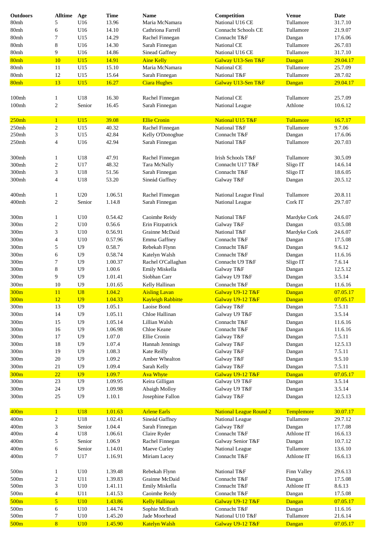| <b>Outdoors</b> | <b>Alltime</b>           | Age            | <b>Time</b> | <b>Name</b>              | Competition                    | <b>Venue</b> | <b>Date</b> |
|-----------------|--------------------------|----------------|-------------|--------------------------|--------------------------------|--------------|-------------|
| 80mh            | 5                        | U16            | 13.96       | Maria McNamara           | National U16 CE                | Tullamore    | 31.7.10     |
| 80mh            | 6                        | U16            | 14.10       | Cathriona Farrell        | <b>Connacht Schools CE</b>     | Tullamore    | 21.9.07     |
| 80mh            | 7                        | U15            | 14.29       | Rachel Finnegan          | Connacht T&F                   | Dangan       | 17.6.06     |
| 80mh            | 8                        | U16            | 14.30       | Sarah Finnegan           | National CE                    | Tullamore    | 26.7.03     |
| 80mh            | 9                        | U16            | 14.86       | Sinead Gaffney           | National U16 CE                | Tullamore    | 31.7.10     |
| 80mh            | 10                       | U15            | 14.91       | <b>Aine Kelly</b>        | Galway U13-Sen T&F             | Dangan       | 29.04.17    |
| 80mh            | 11                       | U15            | 15.10       | Maria McNamara           | National CE                    | Tullamore    | 25.7.09     |
| 80mh            | 12                       | U15            | 15.64       | Sarah Finnegan           | National T&F                   | Tullamore    | 28.7.02     |
| 80mh            | 13                       | U15            | 16.27       | <b>Ciara Hughes</b>      | Galway U13-Sen T&F             | Dangan       | 29.04.17    |
|                 |                          |                |             |                          |                                |              |             |
| 100mh           | 1                        | U18            | 16.30       | Rachel Finnegan          | National CE                    | Tullamore    | 25.7.09     |
| $100m$ h        | $\sqrt{2}$               | Senior         | 16.45       | Sarah Finnegan           | National League                | Athlone      | 10.6.12     |
|                 |                          |                |             |                          |                                |              |             |
| 250mh           | $\mathbf{1}$             | U15            | 39.08       | <b>Ellie Cronin</b>      | National U15 T&F               | Tullamore    | 16.7.17     |
| 250mh           | 2                        | U15            | 40.32       | Rachel Finnegan          | National T&F                   | Tullamore    | 9.7.06      |
| 250mh           | 3                        | U15            | 42.84       | Kelly O'Donoghue         | Connacht T&F                   | Dangan       | 17.6.06     |
| 250mh           | $\overline{4}$           | U16            | 42.94       | Sarah Finnegan           | National T&F                   | Tullamore    | 20.7.03     |
|                 |                          |                |             |                          |                                |              |             |
| 300mh           | 1                        | U18            | 47.91       | Rachel Finnegan          | Irish Schools T&F              | Tullamore    | 30.5.09     |
| 300mh           | $\sqrt{2}$               | U17            | 48.32       | Tara McNally             | Connacht U17 T&F               | Sligo IT     | 14.6.14     |
| 300mh           | 3                        | U18            | 51.56       | Sarah Finnegan           | Connacht T&F                   | Sligo IT     | 18.6.05     |
| 300mh           | $\overline{4}$           | U18            | 53.20       | Sineád Gaffney           | Galway T&F                     | Dangan       | 20.5.12     |
|                 |                          |                |             |                          |                                |              |             |
|                 |                          |                |             |                          |                                |              |             |
| $400$ mh        | 1                        | U20            | 1.06.51     | Rachel Finnegan          | National League Final          | Tullamore    | 20.8.11     |
| 400mh           | $\sqrt{2}$               | Senior         | 1.14.8      | Sarah Finnegan           | National League                | Cork IT      | 29.7.07     |
|                 |                          |                |             |                          |                                |              |             |
| 300m            | 1                        | U10            | 0.54.42     | Caoimhe Reidy            | National T&F                   | Mardyke Cork | 24.6.07     |
| 300m            | $\overline{c}$           | U10            | 0.56.6      | Erin Fitzpatrick         | Galway T&F                     | Dangan       | 03.5.08     |
| 300m            | 3                        | U10            | 0.56.91     | Grainne McDaid           | National T&F                   | Mardyke Cork | 24.6.07     |
| 300m            | $\overline{4}$           | U10            | 0.57.96     | Emma Gaffney             | Connacht T&F                   | Dangan       | 17.5.08     |
| 300m            | 5                        | U <sub>9</sub> | 0.58.7      | Rebekah Flynn            | Connacht T&F                   | Dangan       | 9.6.12      |
| 300m            | 6                        | U <sub>9</sub> | 0.58.74     | Katelyn Walsh            | Connacht T&F                   | Dangan       | 11.6.16     |
| 300m            | 7                        | U <sub>9</sub> | 1.00.37     | Rachel O'Callaghan       | Connacht U9 T&F                | Sligo IT     | 7.6.14      |
| 300m            | 8                        | U <sub>9</sub> | 1.00.6      | Emily Miskella           | Galway T&F                     | Dangan       | 12.5.12     |
| 300m            | 9                        | U <sub>9</sub> | 1.01.41     | Siobhan Carr             | Galway U9 T&F                  | Dangan       | 3.5.14      |
| 300m            | 10                       | U <sub>9</sub> | 1.01.65     | Kelly Hallinan           | Connacht T&F                   | Dangan       | 11.6.16     |
| 300m            | 11                       | U8             | 1.04.2      | <b>Aisling Lavan</b>     | Galway U9-12 T&F               | Dangan       | 07.05.17    |
| 300m            | 12                       | U <sub>9</sub> | 1.04.33     | <b>Kayleigh Rabbitte</b> | Galway U9-12 T&F               | Dangan       | 07.05.17    |
| 300m            | 13                       | U <sub>9</sub> | 1.05.1      | Laoise Bond              | Galway T&F                     | Dangan       | 7.5.11      |
| 300m            | 14                       | U <sub>9</sub> | 1.05.11     | Chloe Hallinan           | Galway U9 T&F                  | Dangan       | 3.5.14      |
| 300m            | 15                       | U <sub>9</sub> | 1.05.14     | Lillian Walsh            | Connacht T&F                   | Dangan       | 11.6.16     |
| 300m            | 16                       | U <sub>9</sub> | 1.06.98     | Chloe Keane              | Connacht T&F                   | Dangan       | 11.6.16     |
| 300m            | 17                       | U <sub>9</sub> | 1.07.0      | Ellie Cronin             | Galway T&F                     | Dangan       | 7.5.11      |
| 300m            | $18\,$                   | U <sub>9</sub> | 1.07.4      | Hannah Jennings          | Galway T&F                     | Dangan       | 12.5.13     |
| 300m            | 19                       | U <sub>9</sub> | 1.08.3      | Kate Reilly              | Galway T&F                     | Dangan       | 7.5.11      |
| 300m            | $20\,$                   | U <sub>9</sub> | 1.09.2      | Amber Whealton           | Galway T&F                     | Dangan       | 9.5.10      |
| $300\mathrm{m}$ | 21                       | U <sub>9</sub> | 1.09.4      | Sarah Kelly              | Galway T&F                     | Dangan       | 7.5.11      |
|                 |                          | U <sub>9</sub> | 1.09.7      | <b>Ava Whyte</b>         | Galway U9-12 T&F               | Dangan       | 07.05.17    |
| 300m            | 22                       | U <sub>9</sub> | 1.09.95     | Keira Gilligan           | Galway U9 T&F                  | Dangan       | 3.5.14      |
| 300m            | 23                       |                |             |                          |                                |              |             |
| $300\mathrm{m}$ | $24\,$                   | U <sub>9</sub> | 1.09.98     | Abaigh Molloy            | Galway U9 T&F                  | Dangan       | 3.5.14      |
| $300\mathrm{m}$ | $25\,$                   | U <sub>9</sub> | 1.10.1      | Josephine Fallon         | Galway T&F                     | Dangan       | 12.5.13     |
| 400m            | $\mathbf{1}$             | <b>U18</b>     | 1.01.63     | <b>Arlene Earls</b>      | <b>National League Round 2</b> | Templemore   | 30.07.17    |
| 400m            | $\overline{c}$           | U18            | 1.02.41     | Sineád Gaffney           | National League                | Tullamore    | 29.7.12     |
| 400m            |                          | Senior         | 1.04.4      |                          | Galway T&F                     |              | 17.7.08     |
|                 | 3                        |                |             | Sarah Finnegan           |                                | Dangan       |             |
| 400m            | $\overline{4}$           | U18            | 1.06.61     | Claire Ryder             | Connacht T&F                   | Athlone IT   | 16.6.13     |
| 400m            | 5                        | Senior         | 1.06.9      | Rachel Finnegan          | Galway Senior T&F              | Dangan       | 10.7.12     |
| 400m            | 6                        | Senior         | 1.14.01     | Maeve Curley             | National League                | Tullamore    | 13.6.10     |
| 400m            | 7                        | U17            | 1.16.91     | Miriam Lacey             | Connacht T&F                   | Athlone IT   | 16.6.13     |
|                 |                          |                |             |                          |                                |              |             |
| $500\mathrm{m}$ | 1                        | U10            | 1.39.48     | Rebekah Flynn            | National T&F                   | Finn Valley  | 29.6.13     |
| 500m            | $\boldsymbol{2}$         | U11            | 1.39.83     | Grainne McDaid           | Connacht T&F                   | Dangan       | 17.5.08     |
| 500m            | 3                        | U10            | 1.41.11     | Emily Miskella           | Connacht T&F                   | Athlone IT   | 8.6.13      |
| $500\mathrm{m}$ | $\overline{\mathcal{A}}$ | U11            | 1.41.53     | Caoimhe Reidy            | Connacht T&F                   | Dangan       | 17.5.08     |
| 500m            | $\sqrt{5}$               | U10            | 1.43.86     | <b>Kelly Hallinan</b>    | Galway U9-12 T&F               | Dangan       | 07.05.17    |
| $500\mathrm{m}$ | 6                        | U10            | 1.44.74     | Sophie McIlrath          | Connacht T&F                   | Dangan       | 11.6.16     |
| $500\mathrm{m}$ | 7                        | U10            | 1.45.20     | Jade Moorhead            | National U10 T&F               | Tullamore    | 21.6.14     |
| 500m            | 8                        | U10            | 1.45.90     | <b>Katelyn Walsh</b>     | Galway U9-12 T&F               | Dangan       | 07.05.17    |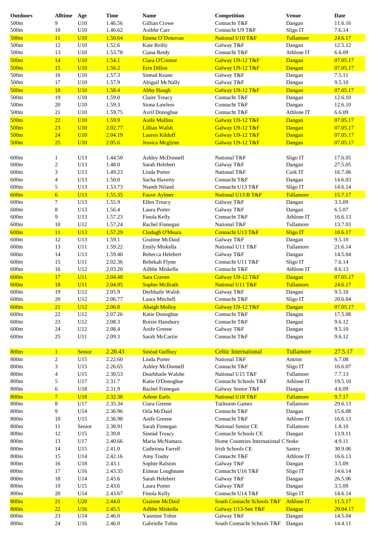| <b>Outdoors</b> | <b>Alltime</b>   | Age             | <b>Time</b> | <b>Name</b>                        | Competition                           | <b>Venue</b>      | <b>Date</b> |
|-----------------|------------------|-----------------|-------------|------------------------------------|---------------------------------------|-------------------|-------------|
| 500m            | 9                | U10             | 1.46.56     | Gillian Crowe                      | Connacht T&F                          | Dangan            | 11.6.16     |
| 500m            | 10               | U10             | 1.46.62     | Aoibhe Carr                        | Connacht U9 T&F                       | Sligo IT          | 7.6.14      |
| 500m            | 11               | U10             | 1.50.64     | Emma O'Donovan                     | National U10 T&F                      | Tullamore         | 24.6.17     |
| 500m            | 12               | U10             | 1.52.6      | Kate Reilly                        | Galway T&F                            | Dangan            | 12.5.12     |
| 500m            | 13               | U10             | 1.53.78     | Ciana Reidy                        | Connacht T&F                          | Athlone IT        | 6.6.09      |
| 500m            | 14               | U10             | 1.54.1      | Ciara O'Connor                     | Galway U9-12 T&F                      | Dangan            | 07.05.17    |
| 500m            | 15               | U10             | 1.56.2      | <b>Erin Dillon</b>                 | Galway U9-12 T&F                      | Dangan            | 07.05.17    |
| 500m            | 16               | U10             | 1.57.3      | Sinead Keane                       | Galway T&F                            | Dangan            | 7.5.11      |
| 500m            | 17               | U10             | 1.57.9      | Abigail McNally                    | Galway T&F                            | Dangan            | 9.5.10      |
| 500m            | 18               | U10             | 1.58.4      | <b>Abby Haugh</b>                  | Galway U9-12 T&F                      | Dangan            | 07.05.17    |
| 500m            | 19               | U10             | 1.59.0      | Claire Treacy                      | Connacht T&F                          | Dangan            | 12.6.10     |
| 500m            | $20\,$           | U10             | 1.59.3      | Siona Lawless                      | Connacht T&F                          | Dangan            | 12.6.10     |
| 500m            | 21               | U10             | 1.59.75     | Avril Donoghue                     | Connacht T&F                          | Athlone IT        | 6.6.09      |
| 500m            | 22               | U10             | 1.59.9      | <b>Aoife Mullins</b>               | Galway U9-12 T&F                      | Dangan            | 07.05.17    |
| 500m            | 23               | U10             | 2.02.77     | <b>Lillian Walsh</b>               |                                       |                   | 07.05.17    |
|                 | 24               |                 |             | <b>Lauren Kilduff</b>              | Galway U9-12 T&F                      | Dangan            |             |
| 500m            | 25               | U10<br>U10      | 2.04.19     |                                    | Galway U9-12 T&F                      | Dangan            | 07.05.17    |
| 500m            |                  |                 | 2.05.6      | <b>Jessica Mcglynn</b>             | Galway U9-12 T&F                      | Dangan            | 07.05.17    |
|                 |                  |                 |             |                                    |                                       |                   |             |
| 600m            | $\mathbf{1}$     | U13             | 1.44.50     | Ashley McDonnell<br>Sarah Helebert | National T&F                          | Sligo IT          | 17.6.05     |
| 600m            | $\overline{c}$   | U13             | 1.48.0      |                                    | Galway T&F                            | Dangan            | 27.5.05     |
| 600m            | 3                | U13             | 1.49.23     | Linda Porter                       | National T&F                          | Cork IT           | 16.7.06     |
| 600m            | $\overline{4}$   | U13             | 1.50.0      | Sacha Haverty                      | Connacht T&F                          | Dangan            | 14.6.03     |
| 600m            | $\sqrt{5}$       | U13             | 1.53.73     | Niamh Niland                       | Connacht U13 T&F                      | Sligo IT          | 14.6.14     |
| 600m            | $\overline{6}$   | U13             | 1.55.35     | <b>Fauve Aylmer</b>                | National U13 B T&F                    | Tullamore         | 15.7.17     |
| 600m            | 7                | U13             | 1.55.9      | Ellen Treacy                       | Galway T&F                            | Dangan            | 3.5.09      |
| 600m            | 8                | U13             | 1.56.4      | Laura Porter                       | Galway T&F                            | Dangan            | 6.5.07      |
| 600m            | 9                | U13             | 1.57.23     | Finola Kelly                       | Connacht T&F                          | Athlone IT        | 16.6.13     |
| 600m            | 10               | U12             | 1.57.24     | Rachel Finnegan                    | National T&F                          | Tullamore         | 13.7.03     |
| 600m            | 11               | U13             | 1.57.29     | <b>Clodagh O'Meara</b>             | Connacht U13 T&F                      | <b>Sligo IT</b>   | 10.6.17     |
| 600m            | 12               | U13             | 1.59.1      | Grainne McDaid                     | Galway T&F                            | Dangan            | 9.5.10      |
| 600m            | 13               | U11             | 1.59.22     | Emily Miskella                     | National U11 T&F                      | Tullamore         | 21.6.14     |
| 600m            | 14               | U13             | 1.59.40     | Rebecca Helebert                   | Galway T&F                            | Dangan            | 14.5.04     |
| 600m            | 15               | U11             | 2.02.36     | Rebekah Flynn                      | Connacht U11 T&F                      | Sligo IT          | 7.6.14      |
| 600m            | 16               | U12             | 2.03.20     | Ailbhe Miskella                    | Connacht T&F                          | Athlone IT        | 8.6.13      |
| 600m            | 17               | U11             | 2.04.48     | <b>Sara Craven</b>                 | Galway U9-12 T&F                      | Dangan            | 07.05.17    |
| 600m            | 18               | U11             | 2.04.95     | <b>Sophie McIlrath</b>             | National U11 T&F                      | Tullamore         | 24.6.17     |
| 600m            | 19               | U12             | 2.05.9      | Derbhaile Walsh                    | Galway T&F                            | Dangan            | 9.5.10      |
| 600m            | $20\,$           | U12             | 2.06.77     | Laura Mitchell                     | Connacht T&F                          | Sligo IT          | 20.6.04     |
| 600m            | 21               | U <sub>12</sub> | 2.06.8      | <b>Abaigh Molloy</b>               | Galway U9-12 T&F                      | Dangan            | 07.05.17    |
| 600m            | 22               | U12             | 2.07.26     | Katie Donoghue                     | Connacht T&F                          | Dangan            | 17.5.08     |
| 600m            | 23               | U12             | 2.08.3      | Roisin Hansbury                    | Connacht T&F                          | Dangan            | 9.6.12      |
| 600m            | 24               | U12             | 2.08.4      | Aoife Greene                       | Galway T&F                            | Dangan            | 9.5.10      |
| 600m            | $25\,$           | U11             | 2.09.3      | Sarah McCartin                     | Connacht T&F                          | Dangan            | 9.6.12      |
|                 |                  |                 |             |                                    |                                       |                   |             |
| 800m            | $\mathbf{1}$     | Senior          | 2.20.43     | <b>Sinéad Gaffney</b>              | <b>Celtic International</b>           | Tullamore         | 27.5.17     |
| 800m            | $\boldsymbol{2}$ | U15             | 2.22.60     | Linda Porter                       | National T&F                          | Antrim            | 6.7.08      |
| 800m            | 3                | U15             | 2.26.65     | Ashley McDonnell                   | Connacht T&F                          | Sligo IT          | 16.6.07     |
| 800m            | 4                | U15             | 2.30.53     | Dearbhaile Walshe                  | National U15 T&F                      | Tullamore         | 7.7.13      |
| 800m            | 5                | U17             | 2.31.7      | Katie O'Donoghue                   | Connacht Schools T&F                  | Athlone IT        | 19.5.10     |
| $800\mathrm{m}$ | 6                | U18             | 2.31.9      | Rachel Finnegan                    | Galway Senior T&F                     | Dangan            | 4.6.09      |
| 800m            | $\overline{7}$   | <b>U18</b>      | 2.32.38     | <b>Arlene Earls</b>                | National U18 T&F                      | Tullamore         | 9.7.17      |
| $800\mathrm{m}$ | 8                | U17             | 2.35.34     | Ciara Greene                       | <b>Tailteann Games</b>                | Tullamore         | 29.6.13     |
| 800m            | 9                | U14             | 2.36.96     | Orla McDaid                        | Connacht T&F                          | Dangan            | 15.6.08     |
| 800m            | 10               | U15             | 2.36.98     | Aoife Greene                       | Connacht T&F                          | Athlone IT        | 16.6.13     |
| 800m            | 11               | Senior          | 2.38.91     | Sarah Finnegan                     | National Senior CE                    | Tullamore         | 1.8.10      |
| 800m            | 12               | U15             | 2.39.8      | Sineád Treacy                      | <b>Connacht Schools CE</b>            | Dangan            | 13.9.11     |
| 800m            | 13               | U17             | 2.40.66     | Maria McNamara                     | Home Countries International C Stoke  |                   | 4.9.11      |
| 800m            | 14               | U15             | 2.41.0      | Cathriona Farrell                  | Irish Schools CE                      | Santry            | 30.9.06     |
| 800m            | 15               | U14             | 2.42.16     | Amy Touhy                          | Connacht T&F                          | Athlone IT        | 16.6.13     |
| 800m            | 16               | U18             | 2.43.1      | Sophie Ralston                     | Galway T&F                            | Dangan            | 3.5.09      |
| 800m            | 17               | U16             | 2.43.35     | Eimear Loughnane                   | Connacht U16 T&F                      | Sligo IT          | 14.6.14     |
| 800m            | 18               | U14             | 2.43.6      | Sarah Helebert                     | Galway T&F                            | Dangan            | 26.5.06     |
| 800m            | 19               | U15             | 2.43.6      | Laura Porter                       | Galway T&F                            | Dangan            | 3.5.09      |
| 800m            | 20               | U14             | 2.43.67     | Finola Kelly                       | Connacht U14 T&F                      | Sligo IT          | 14.6.14     |
| 800m            | 21               | U20             | 2.44.0      | <b>Grainne McDaid</b>              | <b>South Connacht Schools T&amp;F</b> | <b>Athlone IT</b> | 11.5.17     |
| 800m            | 22               | U16             | 2.45.5      | <b>Ailbhe Miskella</b>             | Galway U13-Sen T&F                    | Dangan            | 29.04.17    |
| $800\mathrm{m}$ | $23\,$           | U14             | 2.46.0      | Yasmine Tobin                      | Galway T&F                            | Dangan            | 14.5.04     |
| 800m            | 24               | U16             | 2.46.0      | Gabrielle Tobin                    | South Connacht Schools T&F            | Dangan            | 14.4.11     |
|                 |                  |                 |             |                                    |                                       |                   |             |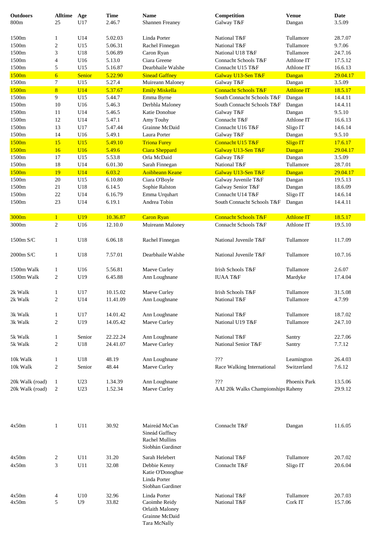| <b>Outdoors</b> | <b>Alltime</b>   | Age             | <b>Time</b> | <b>Name</b>                                          | Competition                        | <b>Venue</b>      | Date     |
|-----------------|------------------|-----------------|-------------|------------------------------------------------------|------------------------------------|-------------------|----------|
| 800m            | 25               | U17             | 2.46.7      | <b>Shannen Freaney</b>                               | Galway T&F                         | Dangan            | 3.5.09   |
|                 |                  |                 |             |                                                      |                                    |                   |          |
| 1500m           | 1                | U14             | 5.02.03     | Linda Porter                                         | National T&F                       | Tullamore         | 28.7.07  |
| 1500m           | $\overline{c}$   | U15             | 5.06.31     | Rachel Finnegan                                      | National T&F                       | Tullamore         | 9.7.06   |
| 1500m           | 3                | U18             | 5.06.89     | Caron Ryan                                           | National U18 T&F                   | Tullamore         | 24.7.16  |
| 1500m           | 4                | U16             | 5.13.0      | Ciara Greene                                         | Connacht Schools T&F               | Athlone IT        | 17.5.12  |
| 1500m           | 5                | U15             | 5.16.87     | Dearbhaile Walshe                                    | Connacht U15 T&F                   | Athlone IT        | 16.6.13  |
| 1500m           | $\overline{6}$   | Senior          | 5.22.90     | <b>Sinead Gaffney</b>                                | Galway U13-Sen T&F                 | Dangan            | 29.04.17 |
| 1500m           | 7                | U15             | 5.27.4      | Muireann Maloney                                     | Galway T&F                         | Dangan            | 3.5.09   |
| 1500m           | 8                | U14             | 5.37.67     | <b>Emily Miskella</b>                                | <b>Connacht Schools T&amp;F</b>    | <b>Athlone IT</b> | 18.5.17  |
| 1500m           | 9                | U15             | 5.44.7      | Emma Byrne                                           | South Connacht Schools T&F         | Dangan            | 14.4.11  |
| 1500m           | 10               | U16             | 5.46.3      | Derbhla Maloney                                      | South Connacht Schools T&F         | Dangan            | 14.4.11  |
| 1500m           | 11               | U14             | 5.46.5      | Katie Donohue                                        | Galway T&F                         | Dangan            | 9.5.10   |
| 1500m           | 12               | U14             | 5.47.1      | Amy Touhy                                            | Connacht T&F                       | Athlone IT        | 16.6.13  |
| 1500m           | 13               | U17             | 5.47.44     | Grainne McDaid                                       | Connacht U16 T&F                   | Sligo IT          | 14.6.14  |
| 1500m           | 14               | U16             | 5.49.1      | Laura Porter                                         | Galway T&F                         | Dangan            | 9.5.10   |
| 1500m           | 15               | U15             | 5.49.10     | <b>Triona Furey</b>                                  | Connacht U15 T&F                   | <b>Sligo IT</b>   | 17.6.17  |
| 1500m           | 16               | U16             | 5.49.6      | Ciara Sheppard                                       | Galway U13-Sen T&F                 | Dangan            | 29.04.17 |
| 1500m           | 17               | U15             | 5.53.8      | Orla McDaid                                          | Galway T&F                         | Dangan            | 3.5.09   |
| 1500m           | 18               | U14             | 6.01.30     | Sarah Finnegan                                       | National T&F                       | Tullamore         | 28.7.01  |
| 1500m           | 19               | U14             | 6.03.2      | <b>Aoibheann Keane</b>                               | Galway U13-Sen T&F                 | Dangan            | 29.04.17 |
| 1500m           | 20               | U15             | 6.10.80     | Ciara O'Boyle                                        | Galway Juvenile T&F                | Dangan            | 19.5.13  |
| 1500m           | 21               | U18             | 6.14.5      | Sophie Ralston                                       | Galway Senior T&F                  | Dangan            | 18.6.09  |
| 1500m           | 22               | U14             | 6.16.79     | Emma Urquhart                                        | Connacht U14 T&F                   | Sligo IT          | 14.6.14  |
| 1500m           | 23               | U14             | 6.19.1      | Andrea Tobin                                         | South Connacht Schools T&F         | Dangan            | 14.4.11  |
|                 |                  |                 |             |                                                      |                                    |                   |          |
| 3000m           | $\mathbf{1}$     | U <sub>19</sub> | 10.36.87    | <b>Caron Ryan</b>                                    | <b>Connacht Schools T&amp;F</b>    | <b>Athlone IT</b> | 18.5.17  |
| 3000m           | 2                | U16             | 12.10.0     | Muireann Maloney                                     | Connacht Schools T&F               | Athlone IT        | 19.5.10  |
|                 |                  |                 |             |                                                      |                                    |                   |          |
| 1500m S/C       | $\mathbf{1}$     | U18             | 6.06.18     | Rachel Finnegan                                      | National Juvenile T&F              | Tullamore         | 11.7.09  |
| 2000m S/C       | $\mathbf{1}$     | U18             | 7.57.01     | Dearbhaile Walshe                                    | National Juvenile T&F              | Tullamore         | 10.7.16  |
|                 |                  |                 |             |                                                      |                                    |                   |          |
| 1500m Walk      | $\mathbf{1}$     | U16             | 5.56.81     | Maeve Curley                                         | Irish Schools T&F                  | Tullamore         | 2.6.07   |
| 1500m Walk      | $\mathfrak{2}$   | U19             | 6.45.88     | Ann Loughnane                                        | <b>IUAA T&amp;F</b>                | Mardyke           | 17.4.04  |
|                 |                  |                 |             |                                                      |                                    |                   |          |
| 2k Walk         | 1                | U17             | 10.15.02    | Maeve Curley                                         | Irish Schools T&F                  | Tullamore         | 31.5.08  |
| 2k Walk         | $\overline{c}$   | U14             | 11.41.09    | Ann Loughnane                                        | National T&F                       | Tullamore         | 4.7.99   |
|                 |                  |                 |             |                                                      |                                    |                   |          |
| 3k Walk         | $\mathbf{1}$     | U17             | 14.01.42    | Ann Loughnane                                        | National T&F                       | Tullamore         | 18.7.02  |
| 3k Walk         | $\sqrt{2}$       | U19             | 14.05.42    | Maeve Curley                                         | National U19 T&F                   | Tullamore         | 24.7.10  |
|                 |                  |                 |             |                                                      |                                    |                   |          |
| 5k Walk         | $\mathbf{1}$     | Senior          | 22.22.24    | Ann Loughnane                                        | National T&F                       | Santry            | 22.7.06  |
| 5k Walk         | $\boldsymbol{2}$ | U18             | 24.41.07    | Maeve Curley                                         | National Senior T&F                | Santry            | 7.7.12   |
|                 |                  |                 |             |                                                      |                                    |                   |          |
| 10k Walk        | $\mathbf{1}$     | U18             | 48.19       | Ann Loughnane                                        | $\eta\eta\eta$                     | Leamington        | 26.4.03  |
| 10k Walk        | $\overline{c}$   | Senior          | 48.44       | Maeve Curley                                         | Race Walking International         | Switzerland       | ?.6.12   |
|                 |                  |                 |             |                                                      |                                    |                   |          |
| 20k Walk (road) | $\mathbf{1}$     | U23             | 1.34.39     | Ann Loughnane                                        | $\eta\eta\eta$                     | Phoenix Park      | 13.5.06  |
| 20k Walk (road) | 2                | U23             | 1.52.34     | Maeve Curley                                         | AAI 20k Walks Championships Raheny |                   | 29.9.12  |
|                 |                  |                 |             |                                                      |                                    |                   |          |
| 4x50m           | $\mathbf{1}$     | U11             | 30.92       | Maireád McCan                                        | Connacht T&F                       | Dangan            | 11.6.05  |
|                 |                  |                 |             | Sineád Gaffney<br>Rachel Mullins<br>Siobhán Gardiner |                                    |                   |          |
| 4x50m           | 2                | U11             | 31.20       | Sarah Helebert                                       | National T&F                       | Tullamore         | 20.7.02  |
| 4x50m           | 3                | U11             | 32.08       | Debbie Kenny                                         | Connacht T&F                       | Sligo IT          | 20.6.04  |
|                 |                  |                 |             | Katie O'Donoghue<br>Linda Porter<br>Siobhan Gardiner |                                    |                   |          |
| 4x50m           |                  | U10             | 32.96       | Linda Porter                                         | National T&F                       | Tullamore         | 20.7.03  |
| 4x50m           | 4<br>5           | U <sub>9</sub>  | 33.82       | Caoimhe Reidy                                        | National T&F                       | Cork IT           | 15.7.06  |
|                 |                  |                 |             | Orlaith Maloney                                      |                                    |                   |          |
|                 |                  |                 |             | Grainne McDaid<br>Tara McNally                       |                                    |                   |          |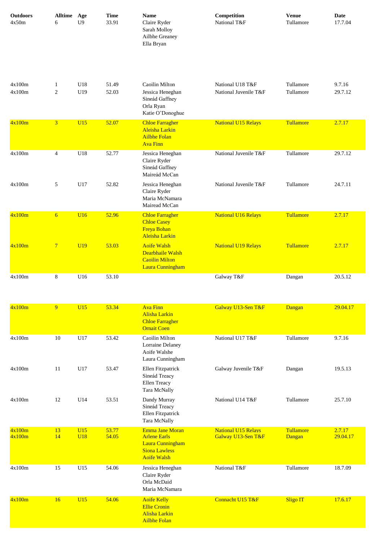| <b>Outdoors</b><br>4x50m | <b>Alltime</b><br>6 | Age<br>U <sub>9</sub> | <b>Time</b><br>33.91 | <b>Name</b><br>Claire Ryder<br>Sarah Molloy<br>Ailbhe Greaney<br>Ella Bryan                 | Competition<br>National T&F               | <b>Venue</b><br>Tullamore | <b>Date</b><br>17.7.04 |
|--------------------------|---------------------|-----------------------|----------------------|---------------------------------------------------------------------------------------------|-------------------------------------------|---------------------------|------------------------|
| 4x100m<br>4x100m         | 1<br>2              | U18<br>U19            | 51.49<br>52.03       | Caoilin Milton<br>Jessica Heneghan<br>Sineád Gaffney<br>Orla Ryan<br>Katie O'Donoghue       | National U18 T&F<br>National Juvenile T&F | Tullamore<br>Tullamore    | 9.7.16<br>29.7.12      |
| 4x100m                   | 3 <sup>1</sup>      | U15                   | 52.07                | <b>Chloe Farragher</b><br><b>Aleisha Larkin</b><br><b>Ailbhe Folan</b><br><b>Ava Finn</b>   | <b>National U15 Relays</b>                | Tullamore                 | 2.7.17                 |
| 4x100m                   | $\overline{4}$      | U18                   | 52.77                | Jessica Heneghan<br>Claire Ryder<br>Sineád Gaffney<br>Maireád McCan                         | National Juvenile T&F                     | Tullamore                 | 29.7.12                |
| 4x100m                   | 5                   | U17                   | 52.82                | Jessica Heneghan<br>Claire Ryder<br>Maria McNamara<br>Mairead McCan                         | National Juvenile T&F                     | Tullamore                 | 24.7.11                |
| 4x100m                   | $6\overline{6}$     | <b>U16</b>            | 52.96                | <b>Chloe Farragher</b><br><b>Chloe Casey</b><br><b>Freya Bohan</b><br><b>Aleisha Larkin</b> | <b>National U16 Relays</b>                | Tullamore                 | 2.7.17                 |
| 4x100m                   | $7\phantom{.0}$     | <b>U19</b>            | 53.03                | <b>Aoife Walsh</b><br><b>Dearbhaile Walsh</b><br><b>Caoilin Milton</b><br>Laura Cunningham  | <b>National U19 Relays</b>                | <b>Tullamore</b>          | 2.7.17                 |
| 4x100m                   | 8                   | U16                   | 53.10                |                                                                                             | Galway T&F                                | Dangan                    | 20.5.12                |

| 4x100m           | 9        | U15        | 53.34          | <b>Ava Finn</b><br>Alisha Larkin<br><b>Chloe Farragher</b><br><b>Ornait Coen</b>                                       | Galway U13-Sen T&F                               | Dangan              | 29.04.17           |
|------------------|----------|------------|----------------|------------------------------------------------------------------------------------------------------------------------|--------------------------------------------------|---------------------|--------------------|
| 4x100m           | 10       | U17        | 53.42          | Caoilin Milton<br><b>Lorraine Delaney</b><br>Aoife Walshe<br>Laura Cunningham                                          | National U17 T&F                                 | Tullamore           | 9.7.16             |
| 4x100m           | 11       | U17        | 53.47          | Ellen Fitzpatrick<br>Sineád Treacy<br>Ellen Treacy<br>Tara McNally                                                     | Galway Juvenile T&F                              | Dangan              | 19.5.13            |
| 4x100m           | 12       | U14        | 53.51          | Dandy Murray<br>Sineád Treacy<br>Ellen Fitzpatrick<br>Tara McNally                                                     | National U14 T&F                                 | Tullamore           | 25.7.10            |
| 4x100m<br>4x100m | 13<br>14 | U15<br>U18 | 53.77<br>54.05 | <b>Emma Jane Moran</b><br><b>Arlene Earls</b><br><b>Laura Cunningham</b><br><b>Siona Lawless</b><br><b>Aoife Walsh</b> | <b>National U15 Relays</b><br>Galway U13-Sen T&F | Tullamore<br>Dangan | 2.7.17<br>29.04.17 |
| 4x100m           | 15       | U15        | 54.06          | Jessica Heneghan<br>Claire Ryder<br>Orla McDaid<br>Maria McNamara                                                      | National T&F                                     | Tullamore           | 18.7.09            |
| 4x100m           | 16       | U15        | 54.06          | <b>Aoife Kelly</b><br><b>Ellie Cronin</b><br><b>Alisha Larkin</b><br><b>Ailbhe Folan</b>                               | Connacht U15 T&F                                 | <b>Sligo IT</b>     | 17.6.17            |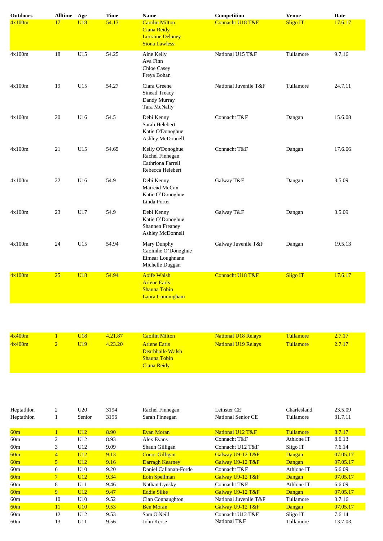| <b>Outdoors</b> | Alltime Age |            | <b>Time</b> | <b>Name</b>                                                                                    | Competition           | <b>Venue</b>    | <b>Date</b> |
|-----------------|-------------|------------|-------------|------------------------------------------------------------------------------------------------|-----------------------|-----------------|-------------|
| 4x100m          | 17          | <b>U18</b> | 54.13       | <b>Caoilin Milton</b><br><b>Ciana Reidy</b><br><b>Lorraine Delaney</b><br><b>Siona Lawless</b> | Connacht U18 T&F      | <b>Sligo IT</b> | 17.6.17     |
| 4x100m          | 18          | U15        | 54.25       | Aine Kelly<br>Ava Finn<br><b>Chloe Casey</b><br>Freya Bohan                                    | National U15 T&F      | Tullamore       | 9.7.16      |
| 4x100m          | 19          | U15        | 54.27       | Ciara Greene<br>Sinead Treacy<br>Dandy Murray<br>Tara McNally                                  | National Juvenile T&F | Tullamore       | 24.7.11     |
| 4x100m          | 20          | U16        | 54.5        | Debi Kenny<br>Sarah Helebert<br>Katie O'Donoghue<br>Ashley McDonnell                           | Connacht T&F          | Dangan          | 15.6.08     |
| 4x100m          | 21          | U15        | 54.65       | Kelly O'Donoghue<br>Rachel Finnegan<br>Cathriona Farrell<br>Rebecca Helebert                   | Connacht T&F          | Dangan          | 17.6.06     |
| 4x100m          | 22          | U16        | 54.9        | Debi Kenny<br>Maireád McCan<br>Katie O'Donoghue<br>Linda Porter                                | Galway T&F            | Dangan          | 3.5.09      |
| 4x100m          | 23          | U17        | 54.9        | Debi Kenny<br>Katie O'Donoghue<br>Shannen Freaney<br>Ashley McDonnell                          | Galway T&F            | Dangan          | 3.5.09      |
| 4x100m          | 24          | U15        | 54.94       | Mary Dunphy<br>Caoimhe O'Donoghue<br>Eimear Loughnane<br>Michelle Duggan                       | Galway Juvenile T&F   | Dangan          | 19.5.13     |
| 4x100m          | 25          | <b>U18</b> | 54.94       | <b>Aoife Walsh</b><br><b>Arlene Earls</b><br><b>Shauna Tobin</b><br>Laura Cunningham           | Connacht U18 T&F      | <b>Sligo IT</b> | 17.6.17     |

| 4x400m | U18  | 4.21.87 | <b>Caoilin Milton</b>                                                         | <b>National U18 Relays</b> | <b>Tullamore</b> | 2.7.17 |
|--------|------|---------|-------------------------------------------------------------------------------|----------------------------|------------------|--------|
| 4x400m | U19. | 4.23.20 | <b>Arlene Earls</b><br>Dearbhaile Walsh<br><b>Shauna Tobin</b><br>Ciana Reidy | <b>National U19 Relays</b> | <b>Tullamore</b> | 2.7.17 |

| Heptathlon<br>Heptathlon | $\overline{2}$ | U20<br>Senior | 3194<br>3196 | Rachel Finnegan<br>Sarah Finnegan | Leinster CE<br>National Senior CE | Charlesland<br>Tullamore | 23.5.09<br>31.7.11 |
|--------------------------|----------------|---------------|--------------|-----------------------------------|-----------------------------------|--------------------------|--------------------|
| 60m                      |                | U12           | 8.90         | <b>Evan Moran</b>                 | National U12 T&F                  | <b>Tullamore</b>         | 8.7.17             |
| 60m                      | $\overline{c}$ | U12           | 8.93         | Alex Evans                        | Connacht T&F                      | Athlone IT               | 8.6.13             |
| 60 <sub>m</sub>          | 3              | U12           | 9.09         | Shaun Gilligan                    | Connacht U12 T&F                  | Sligo IT                 | 7.6.14             |
| 60 <sub>m</sub>          | $\overline{4}$ | U12           | 9.13         | <b>Conor Gilligan</b>             | Galway U9-12 T&F                  | Dangan                   | 07.05.17           |
| 60 <sub>m</sub>          | 5              | U12           | 9.16         | <b>Darragh Kearney</b>            | Galway U9-12 T&F                  | Dangan                   | 07.05.17           |
| 60m                      | 6              | U10           | 9.20         | Daniel Callanan-Forde             | Connacht T&F                      | Athlone IT               | 6.6.09             |
| 60 <sub>m</sub>          | $\overline{7}$ | U12           | 9.34         | Eoin Spellman                     | Galway U9-12 T&F                  | Dangan                   | 07.05.17           |
| 60m                      | 8              | U11           | 9.46         | Nathan Lynsky                     | Connacht T&F                      | Athlone IT               | 6.6.09             |
| 60 <sub>m</sub>          | 9              | U12           | 9.47         | <b>Eddie Silke</b>                | Galway U9-12 T&F                  | Dangan                   | 07.05.17           |
| 60m                      | 10             | U10           | 9.52         | Cian Connaughton                  | National Juvenile T&F             | Tullamore                | 3.7.16             |
| 60m                      | 11             | U10           | 9.53         | <b>Ben Moran</b>                  | Galway U9-12 T&F                  | Dangan                   | 07.05.17           |
| 60 <sub>m</sub>          | 12             | U12           | 9.53         | Sam O'Neill                       | Connacht U12 T&F                  | Sligo IT                 | 7.6.14             |
| 60 <sub>m</sub>          | 13             | U11           | 9.56         | John Kerse                        | National T&F                      | Tullamore                | 13.7.03            |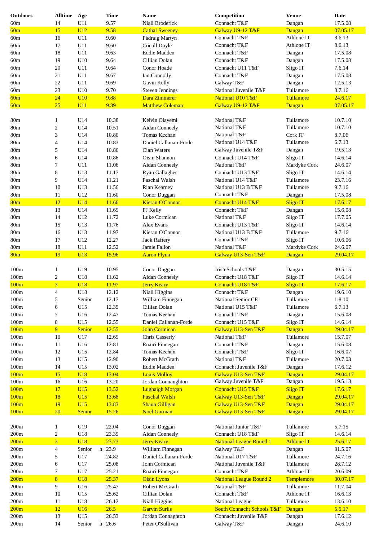| <b>Outdoors</b>  | <b>Alltime</b>          | Age        | <b>Time</b> | <b>Name</b>            | Competition                           | <b>Venue</b>      | Date     |
|------------------|-------------------------|------------|-------------|------------------------|---------------------------------------|-------------------|----------|
| 60m              | 14                      | U11        | 9.57        | Niall Broderick        | Connacht T&F                          | Dangan            | 17.5.08  |
| 60m              | 15                      | U12        | 9.58        | <b>Cathal Sweeney</b>  | Galway U9-12 T&F                      | Dangan            | 07.05.17 |
| 60m              | 16                      | U11        | 9.60        | Pádraig Martyn         | Connacht T&F                          | Athlone IT        | 8.6.13   |
| 60m              | 17                      | U11        | 9.60        | Conall Doyle           | Connacht T&F                          | Athlone IT        | 8.6.13   |
| 60m              | 18                      | U11        | 9.63        | Eddie Madden           | Connacht T&F                          | Dangan            | 17.5.08  |
| 60m              | 19                      | U10        | 9.64        | Cillian Dolan          | Connacht T&F                          | Dangan            | 17.5.08  |
| 60m              | 20                      | U11        | 9.64        | Conor Hoade            | Connacht U11 T&F                      |                   | 7.6.14   |
|                  |                         |            |             |                        | Connacht T&F                          | Sligo IT          |          |
| 60m              | 21                      | U11        | 9.67        | Ian Connolly           |                                       | Dangan            | 17.5.08  |
| 60m              | 22                      | U11        | 9.69        | Gavin Kelly            | Galway T&F                            | Dangan            | 12.5.13  |
| 60m              | 23                      | U10        | 9.70        | <b>Steven Jennings</b> | National Juvenile T&F                 | Tullamore         | 3.7.16   |
| 60m              | 24                      | U10        | 9.88        | Dara Zimmerer          | National U10 T&F                      | Tullamore         | 24.6.17  |
| 60m              | 25                      | U11        | 9.89        | <b>Matthew Coleman</b> | Galway U9-12 T&F                      | Dangan            | 07.05.17 |
|                  |                         |            |             |                        |                                       |                   |          |
| 80 <sub>m</sub>  | 1                       | U14        | 10.38       | Kelvin Olayemi         | National T&F                          | Tullamore         | 10.7.10  |
| 80 <sub>m</sub>  | $\overline{\mathbf{c}}$ | U14        | 10.51       | Aidan Conneely         | National T&F                          | Tullamore         | 10.7.10  |
| 80m              | 3                       | U14        | 10.80       | Tomás Keehan           | National T&F                          | Cork IT           | 8.7.06   |
| 80 <sub>m</sub>  | 4                       | U14        | 10.83       | Daniel Callanan-Forde  | National U14 T&F                      | Tullamore         | 6.7.13   |
| 80 <sub>m</sub>  | 5                       | U14        | 10.86       | Cian Waters            | Galway Juvenile T&F                   | Dangan            | 19.5.13  |
| 80m              | 6                       | U14        | 10.86       | Oisin Shannon          | Connacht U14 T&F                      | Sligo IT          | 14.6.14  |
| 80m              | 7                       | U11        | 11.06       | Aidan Conneely         | National T&F                          | Mardyke Cork      | 24.6.07  |
|                  |                         |            |             |                        |                                       |                   |          |
| 80m              | 8                       | U13        | 11.17       | Ryan Gallagher         | Connacht U13 T&F                      | Sligo IT          | 14.6.14  |
| 80 <sub>m</sub>  | 9                       | U14        | 11.21       | Paschal Walsh          | National U14 T&F                      | Tullamore         | 23.7.16  |
| 80m              | 10                      | U13        | 11.56       | Rian Kearney           | National U13 B T&F                    | Tullamore         | 9.7.16   |
| 80m              | 11                      | U12        | 11.60       | Conor Duggan           | Connacht T&F                          | Dangan            | 17.5.08  |
| 80 <sub>m</sub>  | 12                      | U14        | 11.66       | <b>Kieran O'Connor</b> | Connacht U14 T&F                      | <b>Sligo IT</b>   | 17.6.17  |
| 80m              | 13                      | U14        | 11.69       | PJ Kelly               | Connacht T&F                          | Dangan            | 15.6.08  |
| 80m              | 14                      | U12        | 11.72       | Luke Cormican          | National T&F                          | Sligo IT          | 17.7.05  |
| 80m              | 15                      | U13        | 11.76       | Alex Evans             | Connacht U13 T&F                      | Sligo IT          | 14.6.14  |
| 80m              | 16                      | U13        | 11.97       | Kieran O'Connor        | National U13 B T&F                    | Tullamore         | 9.7.16   |
| 80 <sub>m</sub>  | 17                      | U12        | 12.27       | <b>Jack Raftery</b>    | Connacht T&F                          | Sligo IT          | 10.6.06  |
| 80 <sub>m</sub>  | 18                      | U11        | 12.52       | Jamie Fallon           | National T&F                          | Mardyke Cork      | 24.6.07  |
|                  | 19                      |            | 15.96       |                        |                                       |                   |          |
| 80 <sub>m</sub>  |                         | U13        |             | <b>Aaron Flynn</b>     | Galway U13-Sen T&F                    | Dangan            | 29.04.17 |
|                  |                         |            |             |                        |                                       |                   |          |
| 100m             | 1                       | U19        | 10.95       | Conor Duggan           | Irish Schools T&F                     | Dangan            | 30.5.15  |
| 100m             | $\boldsymbol{2}$        | U18        | 11.62       | Aidan Conneely         | Connacht U18 T&F                      | Sligo IT          | 14.6.14  |
| 100m             | $\overline{\mathbf{3}}$ | <b>U18</b> | 11.97       | <b>Jerry Keary</b>     | Connacht U18 T&F                      | <b>Sligo IT</b>   | 17.6.17  |
| 100m             | 4                       | U18        | 12.12       | Niall Higgins          | Connacht T&F                          | Dangan            | 19.6.10  |
| 100m             | 5                       | Senior     | 12.17       | William Finnegan       | National Senior CE                    | Tullamore         | 1.8.10   |
| 100 <sub>m</sub> | 6                       | U15        | 12.35       | Cillian Dolan          | National U15 T&F                      | Tullamore         | 6.7.13   |
| 100m             | 7                       | U16        | 12.47       | Tomás Keehan           | Connacht T&F                          | Dangan            | 15.6.08  |
| 100m             | 8                       | U15        | 12.55       | Daniel Callanan-Forde  | Connacht U15 T&F                      | Sligo IT          | 14.6.14  |
| 100m             | 9                       | Senior     | 12.55       | <b>John Cormican</b>   | Galway U13-Sen T&F                    | Dangan            | 29.04.17 |
| 100m             | 10                      | U17        | 12.69       | Chris Casserly         | National T&F                          | Tullamore         | 15.7.07  |
| 100m             | 11                      | U16        | 12.81       | Ruairi Finnegan        | Connacht T&F                          | Dangan            | 15.6.08  |
|                  |                         |            |             | Tomás Keehan           |                                       |                   |          |
| 100m             | 12                      | U15        | 12.84       |                        | Connacht T&F                          | Sligo IT          | 16.6.07  |
| 100m             | 13                      | U15        | 12.90       | Robert McGrath         | National T&F                          | Tullamore         | 20.7.03  |
| 100m             | 14                      | U15        | 13.02       | Eddie Madden           | Connacht Juvenile T&F                 | Dangan            | 17.6.12  |
| 100m             | 15                      | <b>U18</b> | 13.04       | <b>Louis Molloy</b>    | Galway U13-Sen T&F                    | Dangan            | 29.04.17 |
| 100m             | 16                      | U16        | 13.20       | Jordan Connaughton     | Galway Juvenile T&F                   | Dangan            | 19.5.13  |
| 100m             | 17                      | U15        | 13.52       | <b>Lughaigh Morgan</b> | Connacht U15 T&F                      | <b>Sligo IT</b>   | 17.6.17  |
| 100m             | 18                      | U15        | 13.68       | <b>Paschal Walsh</b>   | Galway U13-Sen T&F                    | Dangan            | 29.04.17 |
| 100m             | 19                      | U15        | 13.83       | <b>Shaun Gilligan</b>  | Galway U13-Sen T&F                    | Dangan            | 29.04.17 |
| 100m             | 20                      | Senior     | 15.26       | <b>Noel Gorman</b>     | Galway U13-Sen T&F                    | Dangan            | 29.04.17 |
|                  |                         |            |             |                        |                                       |                   |          |
| 200m             | 1                       | U19        | 22.04       | Conor Duggan           | National Junior T&F                   | Tullamore         | 5.7.15   |
| 200m             | $\overline{\mathbf{c}}$ | U18        | 23.39       | Aidan Conneely         | Connacht U18 T&F                      | Sligo IT          | 14.6.14  |
| 200m             | $\overline{3}$          | <b>U18</b> | 23.73       | <b>Jerry Keary</b>     | <b>National League Round 1</b>        | <b>Athlone IT</b> | 25.6.17  |
| 200m             | 4                       | Senior     | h 23.9      | William Finnegan       | Galway T&F                            | Dangan            | 31.5.07  |
|                  |                         |            |             |                        |                                       |                   |          |
| 200m             | 5                       | U17        | 24.82       | Daniel Callanan-Forde  | National U17 T&F                      | Tullamore         | 24.7.16  |
| 200m             | 6                       | U17        | 25.08       | John Cormican          | National Juvenile T&F                 | Tullamore         | 28.7.12  |
| 200m             | 7                       | U17        | 25.21       | Ruairi Finnegan        | Connacht T&F                          | Athlone IT        | 20.6.09  |
| 200m             | 8                       | <b>U18</b> | 25.37       | <b>Oisin Lyons</b>     | <b>National League Round 2</b>        | Templemore        | 30.07.17 |
| 200m             | 9                       | U16        | 25.47       | Robert McGrath         | National T&F                          | Tullamore         | 11.7.04  |
| 200m             | 10                      | U15        | 25.62       | Cillian Dolan          | Connacht T&F                          | Athlone IT        | 16.6.13  |
| 200m             | 11                      | U18        | 26.12       | Niall Higgins          | National League                       | Tullamore         | 13.6.10  |
| 200m             | 12                      | U16        | 26.5        | <b>Garvin Surlis</b>   | <b>South Connacht Schools T&amp;F</b> | Dangan            | 5.5.17   |
| 200m             | 13                      | U15        | 26.53       | Jordan Connaghton      | Connacht Juvenile T&F                 | Dangan            | 17.6.12  |
| 200m             | 14                      | Senior     | h 26.6      | Peter O'Sullivan       | Galway T&F                            | Dangan            | 24.6.10  |
|                  |                         |            |             |                        |                                       |                   |          |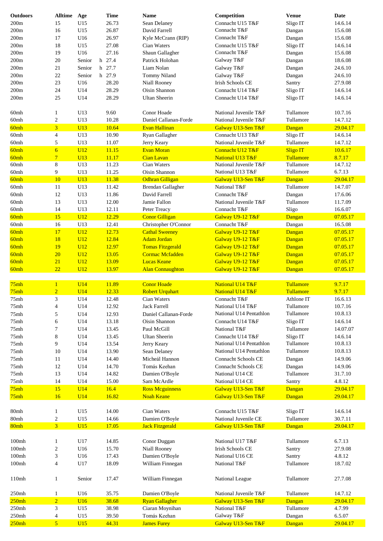| <b>Outdoors</b>   | <b>Alltime</b>                | Age        | <b>Time</b>    | <b>Name</b>                        | Competition                          | <b>Venue</b>     | Date               |
|-------------------|-------------------------------|------------|----------------|------------------------------------|--------------------------------------|------------------|--------------------|
| 200m              | 15                            | U15        | 26.73          | Sean Delaney                       | Connacht U15 T&F                     | Sligo IT         | 14.6.14            |
| 200m              | 16                            | U15        | 26.87          | David Farrell                      | Connacht T&F                         | Dangan           | 15.6.08            |
| 200m              | 17                            | U16        | 26.97          | Kyle McCrann (RIP)                 | Connacht T&F                         | Dangan           | 15.6.08            |
| 200m              | 18                            | U15        | 27.08          | Cian Waters                        | Connacht U15 T&F                     | Sligo IT         | 14.6.14            |
| 200m              | 19                            | U16        | 27.16          | Shaun Gallagher                    | Connacht T&F                         | Dangan           | 15.6.08            |
| 200m              | 20                            | Senior     | h 27.4         | Patrick Holohan                    | Galway T&F                           | Dangan           | 18.6.08            |
| 200m              | 21                            | Senior     | h 27.7         | Liam Nolan                         | Galway T&F                           | Dangan           | 24.6.10            |
| 200m              | 22                            | Senior     | h 27.9         | Tommy Niland                       | Galway T&F                           | Dangan           | 24.6.10            |
| 200m              | 23                            | U16        | 28.20          |                                    | <b>Irish Schools CE</b>              | Santry           | 27.9.08            |
|                   | 24                            |            |                | Niall Rooney<br>Oisin Shannon      |                                      |                  |                    |
| 200m              | 25                            | U14<br>U14 | 28.29          |                                    | Connacht U14 T&F<br>Connacht U14 T&F | Sligo IT         | 14.6.14            |
| 200 <sub>m</sub>  |                               |            | 28.29          | <b>Ultan Sheerin</b>               |                                      | Sligo IT         | 14.6.14            |
| 60mh              | 1                             | U13        | 9.60           | Conor Hoade                        | National Juvenile T&F                | Tullamore        | 10.7.16            |
| 60mh              | $\sqrt{2}$                    | U13        | 10.28          | Daniel Callanan-Forde              | National Juvenile T&F                | Tullamore        | 14.7.12            |
| 60mh              | $\overline{3}$                | U13        | 10.64          | Evan Hallinan                      | Galway U13-Sen T&F                   | Dangan           | 29.04.17           |
| 60mh              | $\overline{4}$                | U13        | 10.90          | Ryan Gallagher                     | Connacht U13 T&F                     | Sligo IT         | 14.6.14            |
| 60mh              | 5                             | U13        | 11.07          | Jerry Keary                        | National Juvenile T&F                | Tullamore        | 14.7.12            |
| 60mh              | $6\overline{6}$               | U12        | 11.15          | <b>Evan Moran</b>                  | Connacht U12 T&F                     | <b>Sligo IT</b>  | 10.6.17            |
| 60mh              | $\overline{7}$                | U13        | 11.17          | <b>Cian Lavan</b>                  | National U13 T&F                     | Tullamore        | 8.7.17             |
| 60mh              | 8                             | U13        | 11.23          | Cian Waters                        | National Juvenile T&F                | Tullamore        | 14.7.12            |
| 60mh              | 9                             | U13        | 11.25          | Oisin Shannon                      | National U13 T&F                     | Tullamore        | 6.7.13             |
| 60mh              | 10                            | U13        | 11.38          | <b>Odhran Gilligan</b>             | Galway U13-Sen T&F                   | Dangan           | 29.04.17           |
| 60mh              | 11                            | U13        | 11.42          | <b>Brendan Gallagher</b>           | National T&F                         | Tullamore        | 14.7.07            |
| 60mh              | 12                            | U13        | 11.86          | David Farrell                      | Connacht T&F                         | Dangan           | 17.6.06            |
| 60mh              | 13                            | U13        | 12.00          | Jamie Fallon                       | National Juvenile T&F                | Tullamore        | 11.7.09            |
| 60mh              | 14                            | U13        | 12.11          | Peter Treacy                       | Connacht T&F                         | Sligo            | 16.6.07            |
| 60mh              | 15                            | U12        | 12.29          | <b>Conor Gilligan</b>              | Galway U9-12 T&F                     | Dangan           | 07.05.17           |
| 60mh              | 16                            | U13        | 12.41          | Christopher O'Connor               | Connacht T&F                         | Dangan           | 16.5.08            |
| 60mh              | 17                            | U12        | 12.73          | <b>Cathal Sweeney</b>              | Galway U9-12 T&F                     | Dangan           | 07.05.17           |
| 60mh              | 18                            | U12        | 12.84          | <b>Adam Jordan</b>                 | Galway U9-12 T&F                     | Dangan           | 07.05.17           |
| 60mh              | 19                            | U12        | 12.97          | <b>Tomas Fitzgerald</b>            | Galway U9-12 T&F                     | Dangan           | 07.05.17           |
| 60mh              | 20                            | U12        | 13.05          | <b>Cormac Mcfadden</b>             | Galway U9-12 T&F                     | Dangan           | 07.05.17           |
| 60mh              | 21                            | U12        | 13.09          | <b>Lucas Keane</b>                 | Galway U9-12 T&F                     | Dangan           | 07.05.17           |
| 60mh              | 22                            | U12        | 13.97          | <b>Alan Connaughton</b>            | Galway U9-12 T&F                     | Dangan           | 07.05.17           |
|                   |                               |            |                |                                    |                                      |                  |                    |
| 75mh              | $\mathbf{1}$                  | U14        | 11.89          | <b>Conor Hoade</b>                 | National U14 T&F                     | Tullamore        | 9.7.17             |
| 75mh              | $\overline{2}$                | U14        | 12.33          | <b>Robert Urquhart</b>             | National U14 T&F                     | Tullamore        | 9.7.17             |
|                   | 3                             | U14        | 12.48          | Cian Waters                        | Connacht T&F                         | Athlone IT       | 16.6.13            |
|                   |                               |            |                |                                    |                                      |                  |                    |
| 75mh              |                               |            |                |                                    |                                      |                  |                    |
| 75mh              | 4                             | U14        | 12.92          | Jack Farrell                       | National U14 T&F                     | Tullamore        | 10.7.16            |
| 75mh              | 5                             | U14        | 12.93          | Daniel Callanan-Forde              | National U14 Pentathlon              | Tullamore        | 10.8.13            |
| 75mh              | 6                             | U14        | 13.18          | Oisin Shannon                      | Connacht U14 T&F                     | Sligo IT         | 14.6.14            |
| 75mh              | 7                             | U14        | 13.45          | Paul McGill                        | National T&F                         | Tullamore        | 14.07.07           |
| 75mh              | 8                             | U14        | 13.45          | <b>Ultan Sheerin</b>               | Connacht U14 T&F                     | Sligo IT         | 14.6.14            |
| 75mh              | 9                             | U14        | 13.54          | Jerry Keary                        | National U14 Pentathlon              | Tullamore        | 10.8.13            |
| 75mh              | 10                            | U14        | 13.90          | Sean Delaney                       | National U14 Pentathlon              | Tullamore        | 10.8.13            |
| 75mh              | 11                            | U14        | 14.40          | Micheál Hannon                     | Connacht Schools CE                  | Dangan           | 14.9.06            |
| 75mh              | 12                            | U14        | 14.70          | Tomás Keehan                       | Connacht Schools CE                  | Dangan           | 14.9.06            |
| 75mh              | 13                            | U14        | 14.82          | Damien O'Boyle                     | National U14 CE                      | Tullamore        | 31.7.10            |
| 75mh              | 14                            | U14        | 15.00          | Sam McArdle                        | National U14 CE                      | Santry           | 4.8.12             |
| 75mh              | 15                            | U14        | 16.4           | <b>Ross Mcguinness</b>             | Galway U13-Sen T&F                   | Dangan           | 29.04.17           |
| 75mh              | 16                            | U14        | 16.82          | <b>Noah Keane</b>                  | Galway U13-Sen T&F                   | Dangan           | 29.04.17           |
|                   |                               |            |                |                                    |                                      |                  |                    |
| 80mh              | 1                             | U15        | 14.00          | Cian Waters                        | Connacht U15 T&F                     | Sligo IT         | 14.6.14            |
| $80{\rm mh}$      | $\boldsymbol{2}$              | U15        | 14.66          | Damien O'Boyle                     | National Juvenile CE                 | Tullamore        | 30.7.11            |
| 80mh              | $\overline{3}$                | U15        | 17.05          | <b>Jack Fitzgerald</b>             | Galway U13-Sen T&F                   | Dangan           | 29.04.17           |
|                   |                               |            |                |                                    |                                      |                  |                    |
| $100m$ h          | 1                             | U17        | 14.85          | Conor Duggan                       | National U17 T&F                     | Tullamore        | 6.7.13             |
| 100mh             | $\boldsymbol{2}$              | U16        | 15.70          | Niall Rooney                       | Irish Schools CE                     | Santry           | 27.9.08            |
| 100mh             | 3                             | U16        | 17.43          | Damien O'Boyle                     | National U16 CE                      | Santry           | 4.8.12             |
| 100 <sub>mh</sub> | $\overline{4}$                | U17        | 18.09          | William Finnegan                   | National T&F                         | Tullamore        | 18.7.02            |
|                   |                               |            |                |                                    |                                      |                  |                    |
| 110mh             | $\mathbf{1}$                  | Senior     | 17.47          | William Finnegan                   | National League                      | Tullamore        | 27.7.08            |
|                   |                               |            |                |                                    |                                      |                  |                    |
| 250mh             | $\mathbf{1}$                  | U16        | 35.75          | Damien O'Boyle                     | National Juvenile T&F                | Tullamore        | 14.7.12            |
| 250mh             | $\overline{2}$                | U16        | 38.68          | <b>Ryan Gallagher</b>              | Galway U13-Sen T&F                   | Dangan           | 29.04.17           |
| 250mh             | 3                             | U15        | 38.98          | Ciaran Moynihan                    | National T&F                         | Tullamore        | 4.7.99             |
| 250mh<br>250mh    | $\overline{\mathcal{A}}$<br>5 | U15<br>U15 | 39.50<br>44.31 | Tomás Keehan<br><b>James Furey</b> | Galway T&F<br>Galway U13-Sen T&F     | Dangan<br>Dangan | 6.5.07<br>29.04.17 |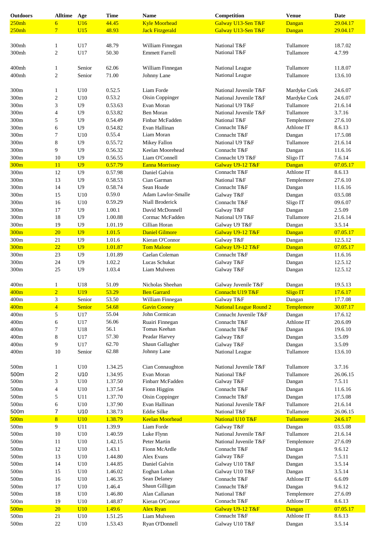| <b>Outdoors</b>  | <b>Alltime</b>           | Age            | <b>Time</b> | <b>Name</b>            | Competition                    | <b>Venue</b>    | <b>Date</b> |
|------------------|--------------------------|----------------|-------------|------------------------|--------------------------------|-----------------|-------------|
| 250mh            | $\overline{6}$           | U16            | 44.45       | <b>Kyle Moorhead</b>   | Galway U13-Sen T&F             | Dangan          | 29.04.17    |
| 250mh            | $\overline{7}$           | U15            | 48.93       | <b>Jack Fitzgerald</b> | Galway U13-Sen T&F             | Dangan          | 29.04.17    |
|                  |                          |                |             |                        |                                |                 |             |
| 300mh            | $\mathbf{1}$             | U17            | 48.79       | William Finnegan       | National T&F                   | Tullamore       | 18.7.02     |
| 300mh            | $\overline{c}$           | U17            | 50.30       | <b>Emmett Farrell</b>  | National T&F                   | Tullamore       | 4.7.99      |
|                  |                          |                |             |                        |                                |                 |             |
|                  |                          |                |             |                        |                                | Tullamore       | 11.8.07     |
| 400mh            | $\mathbf{1}$             | Senior         | 62.06       | William Finnegan       | National League                |                 |             |
| 400mh            | $\mathfrak{2}$           | Senior         | 71.00       | Johnny Lane            | National League                | Tullamore       | 13.6.10     |
|                  |                          |                |             |                        |                                |                 |             |
| 300m             | 1                        | U10            | 0.52.5      | Liam Forde             | National Juvenile T&F          | Mardyke Cork    | 24.6.07     |
| 300m             | $\overline{c}$           | U10            | 0.53.2      | Oisin Coppinger        | National Juvenile T&F          | Mardyke Cork    | 24.6.07     |
| 300m             | 3                        | U <sub>9</sub> | 0.53.63     | Evan Moran             | National U9 T&F                | Tullamore       | 21.6.14     |
| 300m             | $\overline{4}$           | U <sub>9</sub> | 0.53.82     | Ben Moran              | National Juvenile T&F          | Tullamore       | 3.7.16      |
| 300m             | 5                        | U <sub>9</sub> | 0.54.49     | Finbar McFadden        | National T&F                   | Templemore      | 27.6.10     |
| 300m             | 6                        | U <sub>9</sub> | 0.54.82     | Evan Hallinan          | Connacht T&F                   | Athlone IT      | 8.6.13      |
| 300m             | 7                        | U10            | 0.55.4      | Liam Moran             | Connacht T&F                   | Dangan          | 17.5.08     |
| 300m             | $\,8$                    | U <sub>9</sub> | 0.55.72     | Mikey Fallon           | National U9 T&F                | Tullamore       | 21.6.14     |
| 300m             | 9                        | U <sub>9</sub> | 0.56.32     | Keelan Moorehead       | Connacht T&F                   | Dangan          | 11.6.16     |
|                  |                          |                |             |                        |                                |                 |             |
| 300m             | 10                       | U <sub>9</sub> | 0.56.55     | Liam O'Connell         | Connacht U9 T&F                | Sligo IT        | 7.6.14      |
| 300 <sub>m</sub> | 11                       | U <sub>9</sub> | 0.57.79     | <b>Eanna Morrissey</b> | Galway U9-12 T&F               | Dangan          | 07.05.17    |
| 300m             | 12                       | U <sub>9</sub> | 0.57.98     | Daniel Galvin          | Connacht T&F                   | Athlone IT      | 8.6.13      |
| 300m             | 13                       | U <sub>9</sub> | 0.58.53     | Cian Garman            | National T&F                   | Templemore      | 27.6.10     |
| 300m             | 14                       | U <sub>9</sub> | 0.58.74     | Sean Hoade             | Connacht T&F                   | Dangan          | 11.6.16     |
| 300m             | 15                       | U10            | 0.59.0      | Adam Lawlor-Smalle     | Galway T&F                     | Dangan          | 03.5.08     |
| 300m             | 16                       | U10            | 0.59.29     | Niall Broderick        | Connacht T&F                   | Sligo IT        | 09.6.07     |
| 300m             | 17                       | U <sub>9</sub> | 1.00.1      | David McDonnell        | Galway T&F                     | Dangan          | 2.5.09      |
| 300m             | 18                       | U <sub>9</sub> | 1.00.88     | Cormac McFadden        | National U9 T&F                | Tullamore       | 21.6.14     |
| 300m             | 19                       | U <sub>9</sub> | 1.01.19     | Cillian Horan          | Galway U9 T&F                  | Dangan          | 3.5.14      |
| 300m             | 20                       | U <sub>9</sub> | 1.01.5      | <b>Daniel Gilmore</b>  | Galway U9-12 T&F               | Dangan          | 07.05.17    |
|                  |                          |                |             |                        |                                |                 |             |
| 300m             | 21                       | U <sub>9</sub> | 1.01.6      | Kieran O'Connor        | Galway T&F                     | Dangan          | 12.5.12     |
| 300m             | 22                       | U <sub>9</sub> | 1.01.87     | <b>Tom Malone</b>      | Galway U9-12 T&F               | Dangan          | 07.05.17    |
| 300m             | 23                       | U9             | 1.01.89     | Caelan Coleman         | Connacht T&F                   | Dangan          | 11.6.16     |
| 300m             | 24                       | U <sub>9</sub> | 1.02.2      | Lucas Schukat          | Galway T&F                     | Dangan          | 12.5.12     |
| 300m             | 25                       | U <sub>9</sub> | 1.03.4      | Liam Mulveen           | Galway T&F                     | Dangan          | 12.5.12     |
|                  |                          |                |             |                        |                                |                 |             |
| 400m             | $\mathbf{1}$             | U18            | 51.09       | Nicholas Sheehan       | Galway Juvenile T&F            | Dangan          | 19.5.13     |
| 400m             | $\overline{2}$           | <b>U19</b>     | 53.29       | <b>Ben Garrard</b>     | Connacht U19 T&F               | <b>Sligo IT</b> | 17.6.17     |
| 400m             | 3                        | Senior         | 53.50       | William Finnegan       | Galway T&F                     | Dangan          | 17.7.08     |
| 400m             | $\overline{4}$           | Senior         | 54.68       | <b>Gavin Cooney</b>    | <b>National League Round 2</b> | Templemore      | 30.07.17    |
| 400m             | 5                        | U17            | 55.04       | John Cormican          | Connacht Juvenile T&F          | Dangan          | 17.6.12     |
| 400m             | 6                        | U17            | 56.06       | Ruairi Finnegan        | Connacht T&F                   | Athlone IT      | 20.6.09     |
| 400m             | 7                        | U18            | 56.1        | Tomas Keehan           | Connacht T&F                   |                 | 19.6.10     |
|                  |                          |                | 57.30       | Peadar Harvey          |                                | Dangan          |             |
| 400m             | $\,8$                    | U17            |             |                        | Galway T&F                     | Dangan          | 3.5.09      |
| 400m             | 9                        | U17            | 62.70       | Shaun Gallagher        | Galway T&F                     | Dangan          | 3.5.09      |
| 400m             | 10                       | Senior         | 62.88       | Johnny Lane            | National League                | Tullamore       | 13.6.10     |
|                  |                          |                |             |                        |                                |                 |             |
| 500m             | $\mathbf{1}$             | U10            | 1.34.25     | Cian Connaughton       | National Juvenile T&F          | Tullamore       | 3.7.16      |
| 500m             | $\overline{\mathbf{c}}$  | U10            | 1.34.95     | Evan Moran             | National T&F                   | Tullamore       | 26.06.15    |
| 500m             | 3                        | U10            | 1.37.50     | Finbarr McFadden       | Galway T&F                     | Dangan          | 7.5.11      |
| 500m             | $\overline{\mathcal{L}}$ | U10            | 1.37.54     | Fionn Higgins          | Connacht T&F                   | Dangan          | 11.6.16     |
| 500m             | 5                        | U11            | 1.37.70     | Oisin Coppinger        | Connacht T&F                   | Dangan          | 17.5.08     |
| $500\mathrm{m}$  | 6                        | U10            | 1.37.90     | Evan Hallinan          | National Juvenile T&F          | Tullamore       | 21.6.14     |
| 500m             | $\overline{7}$           | U10            | 1.38.73     | Eddie Silke            | National T&F                   | Tullamore       | 26.06.15    |
| 500m             | 8                        | U10            | 1.38.79     | <b>Keelan Moorhead</b> | National U10 T&F               | Tullamore       | 24.6.17     |
|                  |                          |                |             |                        |                                |                 |             |
| 500m             | 9                        | U11            | 1.39.9      | Liam Forde             | Galway T&F                     | Dangan          | 03.5.08     |
| 500m             | 10                       | U10            | 1.40.59     | Luke Flynn             | National Juvenile T&F          | Tullamore       | 21.6.14     |
| 500m             | 11                       | U10            | 1.42.15     | Peter Martin           | National Juvenile T&F          | Templemore      | 27.6.09     |
| 500m             | 12                       | U10            | 1.43.1      | Fionn McArdle          | Connacht T&F                   | Dangan          | 9.6.12      |
| $500\mathrm{m}$  | 13                       | U10            | 1.44.80     | Alex Evans             | Galway T&F                     | Dangan          | 7.5.11      |
| 500m             | 14                       | U10            | 1.44.85     | Daniel Galvin          | Galway U10 T&F                 | Dangan          | 3.5.14      |
| 500m             | 15                       | U10            | 1.46.02     | Eoghan Lohan           | Galway U10 T&F                 | Dangan          | 3.5.14      |
| 500m             | 16                       | U10            | 1.46.35     | Sean Delaney           | Connacht T&F                   | Athlone IT      | 6.6.09      |
| 500m             | 17                       | U10            | 1.46.4      | Shaun Gilligan         | Connacht T&F                   | Dangan          | 9.6.12      |
| 500m             | 18                       | U10            | 1.46.80     | Alan Callanan          | National T&F                   | Templemore      | 27.6.09     |
| 500m             | 19                       | U10            | 1.48.87     | Kieran O'Connor        | Connacht T&F                   | Athlone IT      | 8.6.13      |
|                  |                          |                |             |                        |                                |                 |             |
| 500m             | 20                       | U10            | 1.49.6      | <b>Alex Ryan</b>       | Galway U9-12 T&F               | Dangan          | 07.05.17    |
| 500m             | 21                       | U10            | 1.51.25     | Liam Mulveen           | Connacht T&F                   | Athlone IT      | 8.6.13      |
| $500\mathrm{m}$  | 22                       | $\rm U10$      | 1.53.43     | Ryan O'Donnell         | Galway U10 T&F                 | Dangan          | 3.5.14      |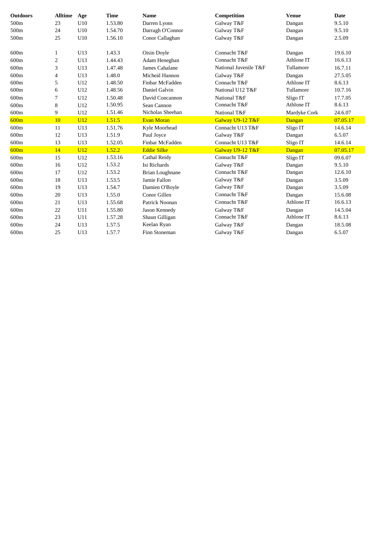| <b>Outdoors</b> | <b>Alltime</b> | Age | <b>Time</b> | <b>Name</b>        | Competition           | <b>Venue</b> | <b>Date</b> |
|-----------------|----------------|-----|-------------|--------------------|-----------------------|--------------|-------------|
| 500m            | 23             | U10 | 1.53.80     | Darren Lyons       | Galway T&F            | Dangan       | 9.5.10      |
| 500m            | 24             | U10 | 1.54.70     | Darragh O'Connor   | Galway T&F            | Dangan       | 9.5.10      |
| 500m            | 25             | U10 | 1.56.10     | Conor Callaghan    | Galway T&F            | Dangan       | 2.5.09      |
| 600m            | 1              | U13 | 1.43.3      | Oisin Doyle        | Connacht T&F          | Dangan       | 19.6.10     |
| 600m            | 2              | U13 | 1.44.43     | Adam Heneghan      | Connacht T&F          | Athlone IT   | 16.6.13     |
| 600m            | 3              | U13 | 1.47.48     | James Cahalane     | National Juvenile T&F | Tullamore    | 16.7.11     |
| 600m            | 4              | U13 | 1.48.0      | Micheál Hannon     | Galway T&F            | Dangan       | 27.5.05     |
| 600m            | 5              | U12 | 1.48.50     | Finbar McFadden    | Connacht T&F          | Athlone IT   | 8.6.13      |
| 600m            | 6              | U12 | 1.48.56     | Daniel Galvin      | National U12 T&F      | Tullamore    | 10.7.16     |
| 600m            | 7              | U12 | 1.50.48     | David Concannon    | National T&F          | Sligo IT     | 17.7.05     |
| 600m            | 8              | U12 | 1.50.95     | Sean Cannon        | Connacht T&F          | Athlone IT   | 8.6.13      |
| 600m            | 9              | U12 | 1.51.46     | Nicholas Sheehan   | National T&F          | Mardyke Cork | 24.6.07     |
| 600m            | 10             | U12 | 1.51.5      | <b>Evan Moran</b>  | Galway U9-12 T&F      | Dangan       | 07.05.17    |
| 600m            | 11             | U13 | 1.51.76     | Kyle Moorhead      | Connacht U13 T&F      | Sligo IT     | 14.6.14     |
| 600m            | 12             | U13 | 1.51.9      | Paul Joyce         | Galway T&F            | Dangan       | 6.5.07      |
| 600m            | 13             | U13 | 1.52.05     | Finbar McFadden    | Connacht U13 T&F      | Sligo IT     | 14.6.14     |
| 600m            | 14             | U12 | 1.52.2      | <b>Eddie Silke</b> | Galway U9-12 T&F      | Dangan       | 07.05.17    |
| 600m            | 15             | U12 | 1.53.16     | Cathal Reidy       | Connacht T&F          | Sligo IT     | 09.6.07     |
| 600m            | 16             | U12 | 1.53.2      | Isi Richards       | Galway T&F            | Dangan       | 9.5.10      |
| 600m            | 17             | U12 | 1.53.2      | Brian Loughnane    | Connacht T&F          | Dangan       | 12.6.10     |
| 600m            | 18             | U13 | 1.53.5      | Jamie Fallon       | Galway T&F            | Dangan       | 3.5.09      |
| 600m            | 19             | U13 | 1.54.7      | Damien O'Boyle     | Galway T&F            | Dangan       | 3.5.09      |
| 600m            | 20             | U13 | 1.55.0      | Conor Gillen       | Connacht T&F          | Dangan       | 15.6.08     |
| 600m            | 21             | U13 | 1.55.68     | Patrick Noonan     | Connacht T&F          | Athlone IT   | 16.6.13     |
| 600m            | 22             | U11 | 1.55.80     | Jason Kennedy      | Galway T&F            | Dangan       | 14.5.04     |
| 600m            | 23             | U11 | 1.57.28     | Shaun Gilligan     | Connacht T&F          | Athlone IT   | 8.6.13      |
| 600m            | 24             | U13 | 1.57.5      | Keelan Ryan        | Galway T&F            | Dangan       | 18.5.08     |
| 600m            | 25             | U13 | 1.57.7      | Finn Stoneman      | Galway T&F            | Dangan       | 6.5.07      |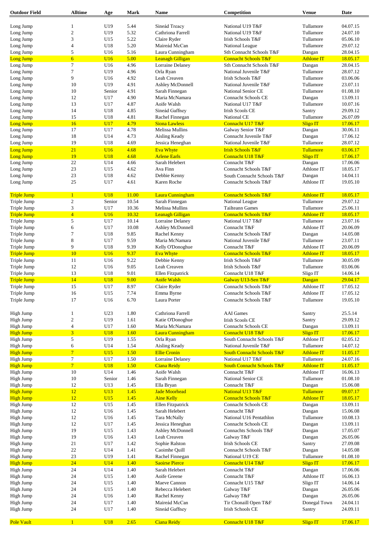| <b>Outdoor Field</b> | <b>Alltime</b>          | Age             | Mark  | Name                    | Competition                           | <b>Venue</b>      | Date     |
|----------------------|-------------------------|-----------------|-------|-------------------------|---------------------------------------|-------------------|----------|
|                      |                         |                 |       |                         |                                       |                   |          |
| Long Jump            | $\mathbf{1}$            | U19             | 5.44  | Sineád Treacy           | National U19 T&F                      | Tullamore         | 04.07.15 |
| Long Jump            | $\sqrt{2}$              | U19             | 5.32  | Cathriona Farrell       | National U19 T&F                      | Tullamore         | 24.07.10 |
| Long Jump            | 3                       | U15             | 5.22  | Claire Ryder            | Irish Schools T&F                     | Tullamore         | 05.06.10 |
| Long Jump            | $\overline{4}$          | U18             | 5.20  | Maireád McCan           | National League                       | Tullamore         | 29.07.12 |
| Long Jump            | 5                       | U16             | 5.16  | Laura Cunningham        | Sth Connacht Schools T&F              | Dangan            | 28.04.15 |
| <b>Long Jump</b>     | $6\overline{6}$         | U16             | 5.00  | <b>Leanagh Gilligan</b> | <b>Connacht Schools T&amp;F</b>       | <b>Athlone IT</b> | 18.05.17 |
| Long Jump            | 7                       | U16             | 4.96  | Lorraine Delaney        | Sth Connacht Schools T&F              | Dangan            | 28.04.15 |
| Long Jump            | $\tau$                  | U19             | 4.96  | Orla Ryan               | National Juvenile T&F                 | Tullamore         | 28.07.12 |
| Long Jump            | 9                       | U16             | 4.92  | Leah Creaven            | Irish Schools T&F                     | Tullamore         | 03.06.06 |
| Long Jump            | 10                      | U19             | 4.91  | Ashley McDonnell        | National Juvenile T&F                 | Tullamore         | 23.07.11 |
| Long Jump            | 10                      | Senior          | 4.91  | Sarah Finnegan          | <b>National Senior CE</b>             | Tullamore         | 01.08.10 |
| Long Jump            | 12                      | U17             | 4.90  | Maria McNamara          | <b>Connacht Schools CE</b>            | Dangan            | 13.09.11 |
| Long Jump            | 13                      | U17             | 4.87  | Aoife Walsh             | National U17 T&F                      | Tullamore         | 10.07.16 |
| Long Jump            | 14                      | U18             | 4.85  | Sineád Gaffney          | <b>Irish Scools CE</b>                | Santry            | 29.09.12 |
| Long Jump            | 15                      | U18             | 4.81  | Rachel Finnegan         | National CE                           | Tullamore         | 26.07.09 |
| <b>Long Jump</b>     | 16                      | U17             | 4.79  | <b>Siona Lawless</b>    | Connacht U17 T&F                      | <b>Sligo IT</b>   | 17.06.17 |
| Long Jump            | 17                      | U17             | 4.78  | Melissa Mullins         | Galway Senior T&F                     | Dangan            | 30.06.11 |
| Long Jump            | 18                      | U14             | 4.73  | Aisling Keady           | Connacht Juvenile T&F                 | Dangan            | 17.06.12 |
| Long Jump            | 19                      | U18             | 4.69  | Jessica Heneghan        | National Juvenile T&F                 | Tullamore         | 28.07.12 |
| <b>Long Jump</b>     | 21                      | U16             | 4.68  | <b>Eva Whyte</b>        | <b>Irish Schools T&amp;F</b>          | Tullamore         | 03.06.17 |
| Long Jump            | 19                      | <b>U18</b>      | 4.68  | <b>Arlene Earls</b>     | Connacht U18 T&F                      | <b>Sligo IT</b>   | 17.06.17 |
| Long Jump            | 22                      | U14             | 4.66  | Sarah Helebert          | Connacht T&F                          | Dangan            | 17.06.06 |
| Long Jump            | 23                      | U15             | 4.62  | Ava Finn                | Connacht Schools T&F                  | Athlone IT        | 18.05.17 |
| Long Jump            | 23                      | U18             | 4.62  | Debbie Kenny            | South Connacht Schools T&F            | Dangan            | 14.04.11 |
| Long Jump            | 25                      | U17             | 4.61  | Karen Roche             | Connacht Schools T&F                  | Athlone IT        | 19.05.10 |
|                      |                         |                 |       |                         |                                       |                   |          |
| <b>Triple Jump</b>   | $\mathbf{1}$            | U <sub>18</sub> | 11.00 | Laura Cunningham        | <b>Connacht Schools T&amp;F</b>       | <b>Athlone IT</b> | 18.05.17 |
| Triple Jump          | $\sqrt{2}$              | Senior          | 10.54 | Sarah Finnegan          | National League                       | Tullamore         | 29.07.12 |
| Triple Jump          | 3                       | U17             | 10.36 | Melissa Mullins         | <b>Tailteann Games</b>                | Tullamore         | 25.06.11 |
| <b>Triple Jump</b>   | $\overline{4}$          | U16             | 10.32 | <b>Leanagh Gilligan</b> | <b>Connacht Schools T&amp;F</b>       | <b>Athlone IT</b> | 18.05.17 |
| Triple Jump          | 5                       | U17             | 10.14 | Lorraine Delaney        | National U17 T&F                      | Tullamore         | 23.07.16 |
| Triple Jump          | 6                       | U17             | 10.08 | Ashley McDonnell        | Connacht T&F                          | Athlone IT        | 20.06.09 |
| Triple Jump          | $\tau$                  | U18             | 9.85  | Rachel Kenny            | Connacht Schools T&F                  | Dangan            | 14.05.08 |
| Triple Jump          | $\,$ 8 $\,$             | U17             | 9.59  | Maria McNamara          | National Juvenile T&F                 | Tullamore         | 23.07.11 |
| Triple Jump          | 9                       | U18             | 9.39  | Kelly O'Donoghue        | Connacht T&F                          | Athlone IT        | 20.06.09 |
| <b>Triple Jump</b>   | 10                      | U16             | 9.37  | <b>Eva Whyte</b>        | <b>Connacht Schools T&amp;F</b>       | <b>Athlone IT</b> | 18.05.17 |
| Triple Jump          | 11                      | U16             | 9.22  | Debbie Kenny            | <b>Irish Schools T&amp;F</b>          | Tullamore         | 30.05.09 |
| Triple Jump          | 12                      | U16             | 9.05  | Leah Creaven            | Irish Schools T&F                     | Tullamore         | 03.06.06 |
| Triple Jump          | 13                      | U18             | 9.01  | Ellen Fitzpatrick       | Connacht U18 T&F                      | Sligo IT          | 14.06.14 |
| <b>Triple Jump</b>   | 14                      | U <sub>18</sub> | 9.00  | <b>Aoife Walsh</b>      | Galway U13-Sen T&F                    | Dangan            | 29.04.17 |
| Triple Jump          | 15                      | U17             | 8.97  | Claire Ryder            | Connacht Schools T&F                  | Athlone IT        | 17.05.12 |
| Triple Jump          | 16                      | U15             | 7.74  | Emma Byrne              | Connacht Schools T&F                  | Athlone IT        | 17.05.12 |
| Triple Jump          | 17                      | U16             | 6.70  | Laura Porter            | Connacht Schools T&F                  | Tullamore         | 19.05.10 |
|                      |                         |                 |       |                         |                                       |                   |          |
| High Jump            | $\mathbf{1}$            | U <sub>23</sub> | 1.80  | Cathriona Farrell       | <b>AAI</b> Games                      | Santry            | 25.5.14  |
| High Jump            | $\sqrt{2}$              | U19             | 1.61  | Katie O'Donoghue        | <b>Irish Scools CE</b>                | Santry            | 29.09.12 |
| High Jump            | $\overline{4}$          | U17             | 1.60  | Maria McNamara          | <b>Connacht Schools CE</b>            | Dangan            | 13.09.11 |
| <b>High Jump</b>     | $\overline{\mathbf{3}}$ | <b>U18</b>      | 1.60  | Laura Cunningham        | Connacht U18 T&F                      | <b>Sligo IT</b>   | 17.06.17 |
| High Jump            | $\sqrt{5}$              | U19             | 1.55  | Orla Ryan               | South Connacht Schools T&F            | Athlone IT        | 02.05.12 |
| High Jump            | 6                       | U14             | 1.54  | Aisling Keady           | National Juvenile T&F                 | Tullamore         | 14.07.12 |
| <b>High Jump</b>     | $\overline{7}$          | U15             | 1.50  | <b>Ellie Cronin</b>     | <b>South Connacht Schools T&amp;F</b> | <b>Athlone IT</b> | 11.05.17 |
| High Jump            | $\tau$                  | U17             | 1.50  | Lorraine Delaney        | National U17 T&F                      | Tullamore         | 24.07.16 |
| <b>High Jump</b>     | 7 <sup>1</sup>          | <b>U18</b>      | 1.50  | <b>Ciana Reidy</b>      | <b>South Connacht Schools T&amp;F</b> | <b>Athlone IT</b> | 11.05.17 |
| High Jump            | 10                      | U14             | 1.46  | Aoife Walsh             | Connacht T&F                          | Athlone IT        | 16.06.13 |
| High Jump            | 10                      | Senior          | 1.46  | Sarah Finnegan          | National Senior CE                    | Tullamore         | 01.08.10 |
| High Jump            | 12                      | U13             | 1.45  | Ella Bryan              | Connacht T&F                          | Dangan            | 15.06.08 |
| <b>High Jump</b>     | 12                      | U13             | 1.45  | <b>Jade Moorhead</b>    | National U13 T&F                      | Tullamore         | 09.07.17 |
| <b>High Jump</b>     | 12                      | U15             | 1.45  | <b>Aine Kelly</b>       | <b>Connacht Schools T&amp;F</b>       | <b>Athlone IT</b> | 18.05.17 |
| High Jump            | 12                      | U15             | 1.45  | Ellen Fitzpatrick       | Connacht Schools CE                   | Dangan            | 13.09.11 |
| High Jump            | 12                      | U16             | 1.45  | Sarah Helebert          | Connacht T&F                          | Dangan            | 15.06.08 |
| High Jump            | 12                      | U16             | 1.45  | Tara McNally            | National U16 Pentathlon               | Tullamore         | 10.08.13 |
| High Jump            | 12                      | U17             | 1.45  | Jessica Heneghan        | <b>Connacht Schools CE</b>            | Dangan            | 13.09.11 |
| High Jump            | 19                      | U15             | 1.43  | Ashley McDonnell        | Connachts Schools T&F                 | Dangan            | 17.05.07 |
| High Jump            | 19                      | U16             | 1.43  | Leah Creaven            | Galway T&F                            | Dangan            | 26.05.06 |
| High Jump            | 21                      | U17             | 1.42  | Sophie Ralston          | <b>Irish Schools CE</b>               | Santry            | 27.09.08 |
| High Jump            | 22                      | U14             | 1.41  | Caoimhe Quill           | Connacht Schools T&F                  | Dangan            | 14.05.08 |
| High Jump            | 23                      | U19             | 1.41  | Rachel Finnegan         | National U19 CE                       | Tullamore         | 01.08.10 |
| <b>High Jump</b>     | 24                      | U14             | 1.40  | <b>Saoirse Pierce</b>   | Connacht U14 T&F                      | <b>Sligo IT</b>   | 17.06.17 |
| High Jump            | 24                      | U14             | 1.40  | Sarah Helebert          | Connacht T&F                          | Dangan            | 17.06.06 |
| High Jump            | 24                      | U15             | 1.40  | Aoife Greene            | Connacht T&F                          | Athlone IT        | 16.06.13 |
| High Jump            | 24                      | U15             | 1.40  | Maeve Cannon            | Connacht U15 T&F                      | Sligo IT          | 14.06.14 |
| High Jump            | 24                      | U15             | 1.40  | Rebecca Helebert        | Galway T&F                            | Dangan            | 26.05.06 |
| High Jump            | 24                      | U16             | 1.40  | Rachel Kenny            | Galway T&F                            | Dangan            | 26.05.06 |
| High Jump            | 24                      | U17             | 1.40  | Maireád McCan           | Tir Chonaill Open T&F                 | Donegal Town      | 24.04.11 |
| High Jump            | 24                      | U17             | 1.40  | Sineád Gaffney          | <b>Irish Schools CE</b>               | Santry            | 24.09.11 |
|                      |                         |                 |       |                         |                                       |                   |          |
| <b>Pole Vault</b>    | $\mathbf{1}$            | <b>U18</b>      | 2.65  | <b>Ciana Reidy</b>      | Connacht U18 T&F                      | <b>Sligo IT</b>   | 17.06.17 |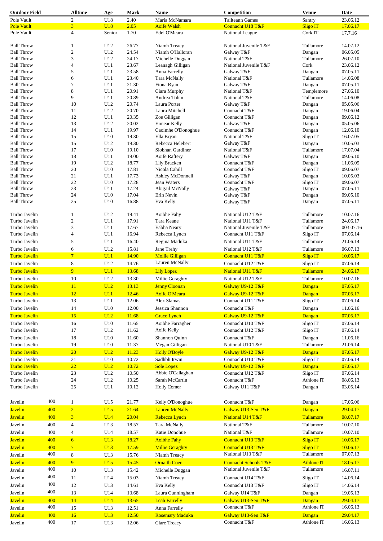| <b>Outdoor Field</b> |     | <b>Alltime</b>          | Age        | <b>Mark</b> | Name                   | Competition                     | <b>Venue</b>      | Date      |
|----------------------|-----|-------------------------|------------|-------------|------------------------|---------------------------------|-------------------|-----------|
| Pole Vault           |     | $\overline{\mathbf{c}}$ | U18        | 2.40        | Maria McNamara         | <b>Tailteann Games</b>          | Santry            | 23.06.12  |
| <b>Pole Vault</b>    |     | $\overline{\mathbf{3}}$ | <b>U18</b> | 2.05        | <b>Aoife Walsh</b>     | Connacht U18 T&F                | <b>Sligo IT</b>   | 17.06.17  |
| Pole Vault           |     | 4                       | Senior     | 1.70        | Edel O'Meara           | National League                 | Cork IT           | 17.7.16   |
|                      |     |                         |            |             |                        |                                 |                   |           |
| <b>Ball Throw</b>    |     | 1                       | U12        | 26.77       | Niamh Treacy           | National Juvenile T&F           | Tullamore         | 14.07.12  |
| <b>Ball Throw</b>    |     | $\overline{\mathbf{c}}$ | U12        | 24.54       | Niamh O'Halloran       | Galway T&F                      | Dangan            | 06.05.05  |
| <b>Ball Throw</b>    |     | 3                       | U12        | 24.17       | Michelle Duggan        | National T&F                    | Tullamore         | 26.07.10  |
| <b>Ball Throw</b>    |     | 4                       | U11        | 23.67       | Leanagh Gilligan       | National Juvenile T&F           | Cork              | 23.06.12  |
| <b>Ball Throw</b>    |     | 5                       | U11        | 23.58       | Anna Farrelly          | Galway T&F                      | Dangan            | 07.05.11  |
| <b>Ball Throw</b>    |     | 6                       | U11        | 23.40       | Tara McNally           | National T&F                    | Tullamore         | 14.06.08  |
| <b>Ball Throw</b>    |     | 7                       | U11        | 21.30       | Fiona Ryan             | Galway T&F                      | Dangan            | 07.05.11  |
| <b>Ball Throw</b>    |     | 8                       | U11        | 20.91       | Ciara Murphy           | National T&F                    | Templemore        | 27.06.10  |
| <b>Ball Throw</b>    |     | 9                       | U11        | 20.89       | Andrea Tobin           | National T&F                    | Tullamore         | 14.06.08  |
| <b>Ball Throw</b>    |     | 10                      | U12        | 20.74       | Laura Porter           | Galway T&F                      | Dangan            | 05.05.06  |
| <b>Ball Throw</b>    |     | 11                      | U12        | 20.70       | Laura Mitchell         | Connacht T&F                    | Dangan            | 19.06.04  |
| <b>Ball Throw</b>    |     | 12                      | U11        | 20.35       | Zoe Gilligan           | Connacht T&F                    | Dangan            | 09.06.12  |
| <b>Ball Throw</b>    |     | 13                      | U12        | 20.02       | Eimear Kelly           | Galway T&F                      | Dangan            | 05.05.06  |
| <b>Ball Throw</b>    |     | 14                      | U11        | 19.97       | Caoimhe O'Donoghue     | Connacht T&F                    | Dangan            | 12.06.10  |
| <b>Ball Throw</b>    |     | 15                      | U10        | 19.30       | Ella Bryan             | National T&F                    | Sligo IT          | 16.07.05  |
| <b>Ball Throw</b>    |     | 15                      | U12        | 19.30       | Rebecca Helebert       | Galway T&F                      | Dangan            | 10.05.03  |
| <b>Ball Throw</b>    |     | 17                      | U10        | 19.10       | Siobhan Gardiner       | National T&F                    | Tullamore         | 17.07.04  |
| <b>Ball Throw</b>    |     | 18                      | U11        | 19.00       |                        |                                 |                   | 09.05.10  |
|                      |     |                         |            |             | Aoife Raftery          | Galway T&F                      | Dangan            |           |
| <b>Ball Throw</b>    |     | 19                      | U12        | 18.77       | Lily Bracken           | Connacht T&F                    | Dangan            | 11.06.05  |
| <b>Ball Throw</b>    |     | 20                      | U10        | 17.81       | Nicola Cahill          | Connacht T&F                    | Sligo IT          | 09.06.07  |
| <b>Ball Throw</b>    |     | 21                      | U11        | 17.73       | Ashley McDonnell       | Galway T&F                      | Dangan            | 10.05.03  |
| <b>Ball Throw</b>    |     | 22                      | U10        | 17.28       | Jean Waters            | Connacht T&F                    | Sligo IT          | 09.06.07  |
| <b>Ball Throw</b>    |     | 23                      | U11        | 17.24       | Abigail McNally        | Galway T&F                      | Dangan            | 07.05.11  |
| <b>Ball Throw</b>    |     | 24                      | U10        | 17.04       | Erin Nevin             | Galway T&F                      | Dangan            | 09.05.10  |
| <b>Ball Throw</b>    |     | 25                      | U10        | 16.88       | Eva Kelly              | Galway T&F                      | Dangan            | 07.05.11  |
|                      |     |                         |            |             |                        |                                 |                   |           |
| Turbo Javelin        |     | 1                       | U12        | 19.41       | Aoibhe Fahy            | National U12 T&F                | Tullamore         | 10.07.16  |
| Turbo Javelin        |     | $\overline{c}$          | U11        | 17.91       | Tara Keane             | National U11 T&F                | Tullamore         | 24.06.17  |
| Turbo Javelin        |     | 3                       | U11        | 17.67       | Eabha Neary            | National Juvenile T&F           | Tullamore         | 003.07.16 |
| Turbo Javelin        |     | 4                       | U11        | 16.94       | Rebecca Lynch          | Connacht U11 T&F                | Sligo IT          | 07.06.14  |
| Turbo Javelin        |     | 5                       | U11        | 16.40       | Regina Maduka          | National U11 T&F                | Tullamore         | 21.06.14  |
| Turbo Javelin        |     | 6                       | U12        | 15.81       |                        |                                 |                   | 06.07.13  |
|                      |     |                         |            |             | Jane Trehy             | National U12 T&F                | Tullamore         |           |
| <b>Turbo Javelin</b> |     | $\overline{7}$          | U11        | 14.90       | <b>Mollie Gilligan</b> | Connacht U11 T&F                | <b>Sligo IT</b>   | 10.06.17  |
| Turbo Javelin        |     | $\,$ 8 $\,$             | U12        | 14.76       | Lauren McNally         | Connacht U12 T&F                | Sligo IT          | 07.06.14  |
| <b>Turbo Javelin</b> |     | 9                       | U11        | 13.68       | <b>Lily Lopez</b>      | National U11 T&F                | Tullamore         | 24.06.17  |
| Turbo Javelin        |     | 10                      | U12        | 13.30       | Millie Geraghty        | National U12 T&F                | Tullamore         | 10.07.16  |
| <b>Turbo Javelin</b> |     | 11                      | U12        | 13.13       | <b>Jenny Cloonan</b>   | Galway U9-12 T&F                | Dangan            | 07.05.17  |
|                      |     |                         |            |             |                        |                                 |                   |           |
| Turbo Javelin        |     | 12                      | U11        | 12.46       | <b>Aoife O'Meara</b>   | Galway U9-12 T&F                | Dangan            | 07.05.17  |
| Turbo Javelin        |     | 13                      | U11        | 12.06       | Alex Slamas            | Connacht U11 T&F                | Sligo IT          | 07.06.14  |
| Turbo Javelin        |     | 14                      | U10        | 12.00       | Jessica Shannon        | Connacht T&F                    | Dangan            | 11.06.16  |
| Turbo Javelin        |     | 15                      | U12        | 11.68       | <b>Grace Lynch</b>     | Galway U9-12 T&F                | Dangan            | 07.05.17  |
| Turbo Javelin        |     | 16                      | U10        | 11.65       | Aoibhe Farragher       | Connacht U10 T&F                | Sligo IT          | 07.06.14  |
|                      |     |                         |            |             |                        |                                 |                   |           |
| Turbo Javelin        |     | 17                      | U12        | 11.62       | Aoife Kelly            | Connacht U12 T&F                | Sligo IT          | 07.06.14  |
| Turbo Javelin        |     | 18                      | U10        | 11.60       | Shannon Quinn          | Connacht T&F                    | Dangan            | 11.06.16  |
| Turbo Javelin        |     | 19                      | U10        | 11.37       | Megan Gilligan         | National U10 T&F                | Tullamore         | 21.06.14  |
| <b>Turbo Javelin</b> |     | 20                      | U12        | 11.23       | <b>Holly O'Boyle</b>   | Galway U9-12 T&F                | Dangan            | 07.05.17  |
| Turbo Javelin        |     | 21                      | U10        | 10.72       | Sadhbh Irwin           | Connacht U10 T&F                | Sligo IT          | 07.06.14  |
| <b>Turbo Javelin</b> |     | 22                      | U12        | 10.72       | <b>Sole Lopez</b>      | Galway U9-12 T&F                | Dangan            | 07.05.17  |
|                      |     |                         |            |             |                        |                                 |                   |           |
| Turbo Javelin        |     | 23                      | U12        | 10.50       | Abbie O'Callaghan      | Connacht U12 T&F                | Sligo IT          | 07.06.14  |
| Turbo Javelin        |     | 24                      | U12        | 10.25       | Sarah McCartin         | Connacht T&F                    | Athlone IT        | 08.06.13  |
| Turbo Javelin        |     | 25                      | U11        | 10.12       | <b>Holly Comer</b>     | Galway U11 T&F                  | Dangan            | 03.05.14  |
|                      |     |                         |            |             |                        |                                 |                   |           |
| Javelin              | 400 | 1                       | U15        | 21.77       | Kelly O'Donoghue       | Connacht T&F                    | Dangan            | 17.06.06  |
| <b>Javelin</b>       | 400 | $\overline{2}$          | U15        | 21.64       | <b>Lauren McNally</b>  | Galway U13-Sen T&F              | Dangan            | 29.04.17  |
|                      |     |                         |            |             |                        |                                 |                   |           |
| <b>Javelin</b>       | 400 | 3                       | U14        | 20.04       | Rebecca Lynch          | National U14 T&F                | Tullamore         | 08.07.17  |
| Javelin              | 400 | $\overline{4}$          | U13        | 18.57       | Tara McNally           | National T&F                    | Tullamore         | 10.07.10  |
| Javelin              | 400 | 4                       | U14        | 18.57       | Katie Donohue          | National T&F                    | Tullamore         | 10.07.10  |
| <b>Javelin</b>       | 400 | $6\overline{6}$         | U13        | 18.27       | <b>Aoibhe Fahy</b>     | Connacht U13 T&F                | Sligo IT          | 10.06.17  |
|                      |     |                         |            |             |                        |                                 |                   |           |
| <b>Javelin</b>       | 400 | $\overline{7}$          | U13        | 17.59       | <b>Millie Geraghty</b> | Connacht U13 T&F                | Sligo IT          | 10.06.17  |
| Javelin              | 400 | 8                       | U13        | 15.76       | Niamh Treacy           | National U13 T&F                | Tullamore         | 07.07.13  |
| <b>Javelin</b>       | 400 | 9                       | U15        | 15.45       | <b>Ornaith Coen</b>    | <b>Connacht Schools T&amp;F</b> | <b>Athlone IT</b> | 18.05.17  |
| Javelin              | 400 | 10                      | U13        | 15.42       | Michelle Duggan        | National Juvenile T&F           | Tullamore         | 16.07.11  |
|                      | 400 |                         |            |             |                        |                                 |                   |           |
| Javelin              |     | 11                      | U14        | 15.03       | Niamh Treacy           | Connacht U14 T&F                | Sligo IT          | 14.06.14  |
| Javelin              | 400 | 12                      | U13        | 14.61       | Eva Kelly              | Connacht U13 T&F                | Sligo IT          | 14.06.14  |
| Javelin              | 400 | 13                      | U14        | 13.68       | Laura Cunningham       | Galway U14 T&F                  | Dangan            | 19.05.13  |
| <b>Javelin</b>       | 400 | 14                      | <b>U14</b> | 13.65       | <b>Leah Farrelly</b>   | Galway U13-Sen T&F              | Dangan            | 29.04.17  |
|                      | 400 | 15                      |            |             |                        | Connacht T&F                    | Athlone IT        | 16.06.13  |
| Javelin              |     |                         | U13        | 12.51       | Anna Farrelly          |                                 |                   |           |
| <b>Javelin</b>       | 400 | 16                      | U13        | 12.50       | <b>Rosemary Maduka</b> | Galway U13-Sen T&F              | Dangan            | 29.04.17  |
| Javelin              | 400 | 17                      | U13        | 12.06       | <b>Clare Treacy</b>    | Connacht T&F                    | Athlone IT        | 16.06.13  |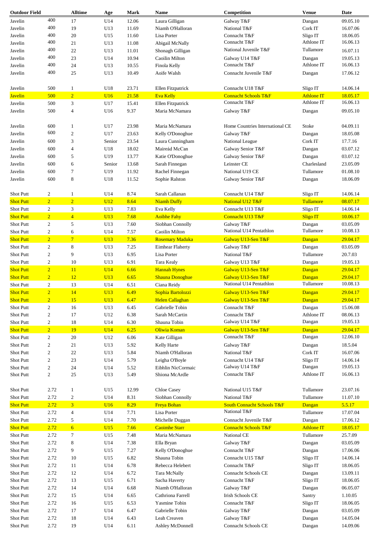| <b>Outdoor Field</b>      |                | <b>Alltime</b>      | Age               | Mark           | Name                                  | Competition                                         | <b>Venue</b>                  | Date                 |
|---------------------------|----------------|---------------------|-------------------|----------------|---------------------------------------|-----------------------------------------------------|-------------------------------|----------------------|
| Javelin                   | 400            | 17                  | U14               | 12.06          | Laura Gilligan                        | Galway T&F                                          | Dangan                        | 09.05.10             |
| Javelin                   | 400            | 19                  | U13               | 11.69          | Niamh O'Halloran                      | National T&F                                        | Cork IT                       | 16.07.06             |
| Javelin                   | 400            | 20                  | U15               | 11.60          | Lisa Porter                           | Connacht T&F                                        | Sligo IT                      | 18.06.05             |
| Javelin                   | 400            | 21                  | U13               | 11.08          | Abigail McNally                       | Connacht T&F                                        | Athlone IT                    | 16.06.13             |
| Javelin                   | 400            | 22                  | U13               | 11.01          | Shonagh Gilligan                      | National Juvenile T&F                               | Tullamore                     | 16.07.11             |
| Javelin                   | 400            | 23                  | U14               | 10.94          | Caoilin Milton                        | Galway U14 T&F                                      | Dangan                        | 19.05.13             |
|                           | 400            |                     |                   |                |                                       | Connacht T&F                                        | Athlone IT                    | 16.06.13             |
| Javelin                   |                | 24                  | U13               | 10.55          | Finola Kelly                          |                                                     |                               |                      |
| Javelin                   | 400            | 25                  | U13               | 10.49          | Aoife Walsh                           | Connacht Juvenile T&F                               | Dangan                        | 17.06.12             |
|                           |                |                     |                   |                |                                       |                                                     |                               |                      |
| Javelin<br><b>Javelin</b> | 500<br>500     | 1<br>$\overline{2}$ | U18<br><b>U16</b> | 23.71<br>21.58 | Ellen Fitzpatrick<br><b>Eva Kelly</b> | Connacht U18 T&F<br><b>Connacht Schools T&amp;F</b> | Sligo IT<br><b>Athlone IT</b> | 14.06.14<br>18.05.17 |
| Javelin                   | 500            |                     |                   | 15.41          |                                       | Connacht T&F                                        | Athlone IT                    | 16.06.13             |
|                           |                | 3                   | U17               |                | Ellen Fitzpatrick                     |                                                     |                               |                      |
| Javelin                   | 500            | $\overline{4}$      | U16               | 9.37           | Maria McNamara                        | Galway T&F                                          | Dangan                        | 09.05.10             |
| Javelin                   | 600            | 1                   | U17               | 23.98          | Maria McNamara                        | Home Countries International CE                     | Stoke                         | 04.09.11             |
|                           | 600            |                     |                   |                |                                       |                                                     |                               |                      |
| Javelin                   |                | $\mathfrak{2}$      | U17               | 23.63          | Kelly O'Donoghue                      | Galway T&F                                          | Dangan                        | 18.05.08             |
| Javelin                   | 600            | 3                   | Senior            | 23.54          | Laura Cunningham                      | National League                                     | Cork IT                       | 17.7.16              |
| Javelin                   | 600            | $\overline{4}$      | U18               | 18.02          | Maireád McCan                         | Galway Senior T&F                                   | Dangan                        | 03.07.12             |
| Javelin                   | 600            | 5                   | U19               | 13.77          | Katie O'Donoghue                      | Galway Senior T&F                                   | Dangan                        | 03.07.12             |
| Javelin                   | 600            | 6                   | Senior            | 13.68          | Sarah Finnegan                        | Leinster CE                                         | Charlesland                   | 23.05.09             |
| Javelin                   | 600            | $\tau$              | U19               | 11.92          | Rachel Finnegan                       | National U19 CE                                     | Tullamore                     | 01.08.10             |
| Javelin                   | 600            | $\,$ 8 $\,$         | U18               | 11.52          | Sophie Ralston                        | Galway Senior T&F                                   | Dangan                        | 18.06.09             |
|                           |                |                     |                   |                |                                       |                                                     |                               |                      |
| Shot Putt                 | $\overline{c}$ | $\mathbf{1}$        | U14               | 8.74           | Sarah Callanan                        | Connacht U14 T&F                                    | Sligo IT                      | 14.06.14             |
| <b>Shot Putt</b>          | $\overline{2}$ | $\overline{2}$      | U12               | 8.64           | <b>Niamh Duffy</b>                    | National U12 T&F                                    | Tullamore                     | 08.07.17             |
| Shot Putt                 | $\overline{c}$ | 3                   | U13               | 7.83           | Eva Kelly                             | Connacht U13 T&F                                    | Sligo IT                      | 14.06.14             |
| <b>Shot Putt</b>          | $\overline{2}$ | $\overline{4}$      | U13               | 7.68           | <b>Aoibhe Fahy</b>                    | Connacht U13 T&F                                    | <b>Sligo IT</b>               | 10.06.17             |
| <b>Shot Putt</b>          | $\overline{c}$ | 5                   | U13               | 7.60           | Siobhan Connolly                      | Galway T&F                                          | Dangan                        | 03.05.09             |
| Shot Putt                 | $\overline{c}$ | 6                   | U14               | 7.57           | Caoilin Milton                        | National U14 Pentathlon                             | Tullamore                     | 10.08.13             |
| <b>Shot Putt</b>          | $\overline{2}$ | $\overline{7}$      | U13               | 7.36           | <b>Rosemary Maduka</b>                | Galway U13-Sen T&F                                  | Dangan                        | 29.04.17             |
|                           |                |                     |                   |                |                                       |                                                     |                               |                      |
| <b>Shot Putt</b>          | $\overline{c}$ | 8                   | U13               | 7.25           | <b>Eimhear Flaherty</b>               | Galway T&F                                          | Dangan                        | 03.05.09             |
| <b>Shot Putt</b>          | $\overline{c}$ | 9                   | U13               | 6.95           | Lisa Porter                           | National T&F                                        | Tullamore                     | 20.7.03              |
| <b>Shot Putt</b>          | $\sqrt{2}$     | 10                  | U13               | 6.91           | <b>Tara Kealy</b>                     | Galway U13 T&F                                      | Dangan                        | 19.05.13             |
| <b>Shot Putt</b>          | $\overline{2}$ | 11                  | U14               | 6.66           | <b>Hannah Hynes</b>                   | Galway U13-Sen T&F                                  | Dangan                        | 29.04.17             |
| <b>Shot Putt</b>          | $\overline{2}$ | 12                  | U13               | 6.65           | <b>Shauna Donoghue</b>                | Galway U13-Sen T&F                                  | Dangan                        | 29.04.17             |
| Shot Putt                 | $\overline{c}$ | 13                  | U14               | 6.51           | Ciana Reidy                           | National U14 Pentathlon                             | Tullamore                     | 10.08.13             |
| <b>Shot Putt</b>          | $\overline{2}$ | 14                  | U13               | 6.49           | Sophia Bartolozzi                     | Galway U13-Sen T&F                                  | Dangan                        | 29.04.17             |
| <b>Shot Putt</b>          | $\overline{2}$ | 15                  | <b>U13</b>        | 6.47           | <b>Helen Callaghan</b>                | Galway U13-Sen T&F                                  | Dangan                        | 29.04.17             |
| Shot Putt                 | $\overline{c}$ | 16                  | U13               | 6.45           | Gabrielle Tobin                       | Connacht T&F                                        | Dangan                        | 15.06.08             |
| <b>Shot Putt</b>          | $\overline{c}$ | 17                  | U12               | 6.38           |                                       | Connacht T&F                                        | Athlone IT                    | 08.06.13             |
|                           |                |                     |                   |                | Sarah McCartin                        |                                                     | Dangan                        | 19.05.13             |
| Shot Putt                 | $\overline{c}$ | 18                  | U14               | 6.30           | Shauna Tobin                          | Galway U14 T&F                                      |                               |                      |
| <b>Shot Putt</b>          | $\overline{2}$ | 19                  | U14               | 6.25           | Oliwia Koman                          | Galway U13-Sen T&F                                  | Dangan                        | 29.04.17             |
| <b>Shot Putt</b>          | 2              | 20                  | U12               | 6.06           | Kate Gilligan                         | Connacht T&F                                        | Dangan                        | 12.06.10             |
| Shot Putt                 | $\overline{c}$ | 21                  | U13               | 5.92           | Kelly Harte                           | Galway T&F                                          | Dangan                        | 18.5.04              |
| Shot Putt                 | $\overline{c}$ | $22\,$              | U13               | 5.84           | Niamh O'Halloran                      | National T&F                                        | Cork IT                       | 16.07.06             |
| Shot Putt                 | $\overline{c}$ | 23                  | U14               | 5.79           | Leigha O'Boyle                        | Connacht U14 T&F                                    | Sligo IT                      | 14.06.14             |
| Shot Putt                 | $\overline{c}$ | 24                  | U14               | 5.52           | Eibhlin NicCormaic                    | Galway U14 T&F                                      | Dangan                        | 19.05.13             |
| Shot Putt                 | $\sqrt{2}$     | 25                  | U13               | 5.49           | Shiona McArdle                        | Connacht T&F                                        | Athlone IT                    | 16.06.13             |
|                           |                |                     |                   |                |                                       |                                                     |                               |                      |
| Shot Putt                 | 2.72           | $\mathbf{1}$        | U15               | 12.99          | Chloe Casey                           | National U15 T&F                                    | Tullamore                     | 23.07.16             |
| Shot Putt                 | 2.72           | $\overline{c}$      | U14               | 8.31           | Siobhan Connolly                      | National T&F                                        | Tullamore                     | 11.07.10             |
| <b>Shot Putt</b>          | 2.72           | $\overline{3}$      | U16               | 8.29           | <b>Freya Bohan</b>                    | <b>South Connacht Schools T&amp;F</b>               | Dangan                        | 5.5.17               |
| Shot Putt                 | 2.72           | $\overline{4}$      | U14               | 7.71           | Lisa Porter                           | National T&F                                        | Tullamore                     | 17.07.04             |
| Shot Putt                 | 2.72           | 5                   | U14               | 7.70           | Michelle Duggan                       | Connacht Juvenile T&F                               | Dangan                        | 17.06.12             |
| <b>Shot Putt</b>          | 2.72           | $6\overline{6}$     | U15               | 7.66           | <b>Caoimhe Starr</b>                  | <b>Connacht Schools T&amp;F</b>                     | <b>Athlone IT</b>             | 18.05.17             |
| Shot Putt                 | 2.72           | 7                   | U15               | 7.48           | Maria McNamara                        | National CE                                         | Tullamore                     | 25.7.09              |
|                           |                |                     |                   |                |                                       |                                                     |                               |                      |
| Shot Putt                 | 2.72           | 8                   | U14               | 7.38           | Ella Bryan                            | Galway T&F                                          | Dangan                        | 03.05.09             |
| Shot Putt                 | 2.72           | 9                   | U15               | 7.27           | Kelly O'Donoghue                      | Connacht T&F                                        | Dangan                        | 17.06.06             |
| Shot Putt                 | 2.72           | 10                  | U15               | 6.82           | Shauna Tobin                          | Connacht U15 T&F                                    | Sligo IT                      | 14.06.14             |
| Shot Putt                 | 2.72           | 11                  | U14               | 6.78           | Rebecca Helebert                      | Connacht T&F                                        | Sligo IT                      | 18.06.05             |
| Shot Putt                 | 2.72           | 12                  | U14               | 6.72           | Tara McNally                          | Connacht Schools CE                                 | Dangan                        | 13.09.11             |
| Shot Putt                 | 2.72           | 13                  | U15               | 6.71           | Sacha Haverty                         | Connacht T&F                                        | Sligo IT                      | 18.06.05             |
| Shot Putt                 | 2.72           | 14                  | U14               | 6.68           | Niamh O'Halloran                      | Galway T&F                                          | Dangan                        | 06.05.07             |
| Shot Putt                 | 2.72           | 15                  | U14               | 6.65           | Cathriona Farrell                     | <b>Irish Schools CE</b>                             | Santry                        | 1.10.05              |
|                           |                |                     |                   |                |                                       |                                                     |                               |                      |
| Shot Putt                 | 2.72           | 16                  | U15               | 6.53           | Yasmine Tobin                         | Connacht T&F                                        | Sligo IT                      | 18.06.05             |
| Shot Putt                 | 2.72           | 17                  | U14               | 6.47           | Gabrielle Tobin                       | Galway T&F                                          | Dangan                        | 03.05.09             |
| Shot Putt                 | 2.72           | 18                  | U14               | 6.43           | Leah Creaven                          | Galway T&F                                          | Dangan                        | 14.05.04             |
| Shot Putt                 | 2.72           | 19                  | U14               | 6.11           | Ashley McDonnell                      | Connacht Schools CE                                 | Dangan                        | 14.09.06             |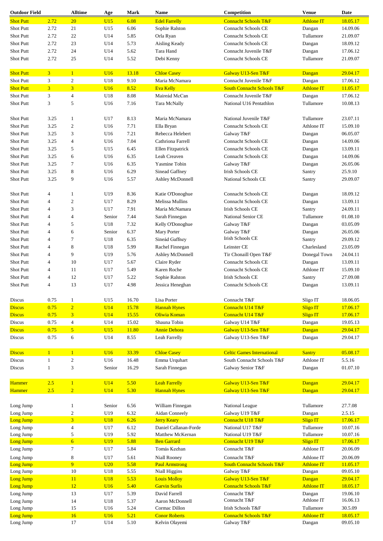| <b>Outdoor Field</b>    |                | <b>Alltime</b>      | Age             | Mark          | Name                                 | Competition                              | <b>Venue</b>      | Date                 |
|-------------------------|----------------|---------------------|-----------------|---------------|--------------------------------------|------------------------------------------|-------------------|----------------------|
| <b>Shot Putt</b>        | 2.72           | 20                  | U15             | 6.08          | <b>Edel Farrelly</b>                 | <b>Connacht Schools T&amp;F</b>          | <b>Athlone IT</b> | 18.05.17             |
| Shot Putt               | 2.72           | 21                  | U15             | 6.06          | Sophie Ralston                       | <b>Connacht Schools CE</b>               | Dangan            | 14.09.06             |
| Shot Putt               | 2.72           | 22                  | U14             | 5.85          | Orla Ryan                            | Connacht Schools CE                      | Tullamore         | 21.09.07             |
| Shot Putt               | 2.72           | 23                  | U14             | 5.73          | Aisling Keady                        | <b>Connacht Schools CE</b>               |                   | 18.09.12             |
|                         |                |                     |                 |               |                                      |                                          | Dangan            |                      |
| <b>Shot Putt</b>        | 2.72           | 24                  | U14             | 5.62          | Tara Hand                            | Connacht Juvenile T&F                    | Dangan            | 17.06.12             |
| Shot Putt               | 2.72           | 25                  | U14             | 5.52          | Debi Kenny                           | Connacht Schools CE                      | Tullamore         | 21.09.07             |
| <b>Shot Putt</b>        | $\overline{3}$ | $\overline{1}$      | U16             | 13.18         | <b>Chloe Casey</b>                   | Galway U13-Sen T&F                       | Dangan            | 29.04.17             |
| Shot Putt               | 3              | $\sqrt{2}$          | U18             | 9.10          | Maria McNamara                       | Connacht Juvenile T&F                    | Dangan            | 17.06.12             |
| <b>Shot Putt</b>        | $\overline{3}$ | $\overline{3}$      | U16             | 8.52          | <b>Eva Kelly</b>                     | <b>South Connacht Schools T&amp;F</b>    | <b>Athlone IT</b> | 11.05.17             |
|                         |                |                     |                 |               |                                      |                                          |                   |                      |
| Shot Putt               | 3              | $\overline{4}$      | U18             | 8.08          | Maireád McCan                        | Connacht Juvenile T&F                    | Dangan            | 17.06.12             |
| <b>Shot Putt</b>        | 3              | 5                   | U16             | 7.16          | Tara McNally                         | National U16 Pentathlon                  | Tullamore         | 10.08.13             |
| <b>Shot Putt</b>        | 3.25           | $\mathbf{1}$        | U17             | 8.13          | Maria McNamara                       | National Juvenile T&F                    | Tullamore         | 23.07.11             |
|                         |                |                     |                 |               |                                      |                                          |                   |                      |
| Shot Putt               | 3.25           | 2                   | U16             | 7.71          | Ella Bryan                           | Connacht Schools CE                      | Athlone IT        | 15.09.10             |
| Shot Putt               | 3.25           | 3                   | U16             | 7.21          | Rebecca Helebert                     | Galway T&F                               | Dangan            | 06.05.07             |
| Shot Putt               | 3.25           | $\overline{4}$      | U16             | 7.04          | Cathriona Farrell                    | <b>Connacht Schools CE</b>               | Dangan            | 14.09.06             |
| Shot Putt               | 3.25           | 5                   | U15             | 6.45          | Ellen Fitzpatrick                    | <b>Connacht Schools CE</b>               | Dangan            | 13.09.11             |
| Shot Putt               | 3.25           | 6                   | U16             | 6.35          | Leah Creaven                         | <b>Connacht Schools CE</b>               | Dangan            | 14.09.06             |
| Shot Putt               | 3.25           | 7                   | U16             | 6.35          | Yasmine Tobin                        | Galway T&F                               | Dangan            | 26.05.06             |
|                         |                |                     |                 |               |                                      |                                          |                   |                      |
| Shot Putt               | 3.25           | 8                   | U16             | 6.29          | Sinead Gaffney                       | <b>Irish Schools CE</b>                  | Santry            | 25.9.10              |
| Shot Putt               | 3.25           | 9                   | U16             | 5.57          | Ashley McDonnell                     | National Schools CE                      | Santry            | 29.09.07             |
| Shot Putt               | 4              | $\mathbf{1}$        | U19             | 8.36          | Katie O'Donoghue                     | <b>Connacht Schools CE</b>               | Dangan            | 18.09.12             |
| Shot Putt               |                |                     |                 |               |                                      |                                          |                   |                      |
|                         | $\overline{4}$ | 2                   | U17             | 8.29          | Melissa Mullins                      | <b>Connacht Schools CE</b>               | Dangan            | 13.09.11             |
| Shot Putt               | $\overline{4}$ | 3                   | U17             | 7.91          | Maria McNamara                       | <b>Irish Schools CE</b>                  | Santry            | 24.09.11             |
| Shot Putt               | $\overline{4}$ | $\overline{4}$      | Senior          | 7.44          | Sarah Finnegan                       | National Senior CE                       | Tullamore         | 01.08.10             |
| Shot Putt               | $\overline{4}$ | 5                   | U18             | 7.32          | Kelly O'Donoghue                     | Galway T&F                               | Dangan            | 03.05.09             |
| Shot Putt               | $\overline{4}$ | 6                   | Senior          | 6.37          | Mary Porter                          | Galway T&F                               | Dangan            | 26.05.06             |
| Shot Putt               | $\overline{4}$ | $\tau$              | U18             | 6.35          | Sineád Gaffney                       | <b>Irish Schools CE</b>                  | Santry            | 29.09.12             |
| <b>Shot Putt</b>        | $\overline{4}$ | 8                   | U18             | 5.99          | Rachel Finnegan                      | Leinster CE                              | Charlesland       | 23.05.09             |
|                         |                |                     |                 |               |                                      |                                          |                   |                      |
| <b>Shot Putt</b>        | $\overline{4}$ | 9                   | U19             | 5.76          | Ashley McDonnell                     | Tir Chonaill Open T&F                    | Donegal Town      | 24.04.11             |
| <b>Shot Putt</b>        | $\overline{4}$ | 10                  | U17             | 5.67          | Claire Ryder                         | <b>Connacht Schools CE</b>               | Dangan            | 13.09.11             |
| Shot Putt               | $\overline{4}$ | 11                  | U17             | 5.49          | Karen Roche                          | Connacht Schools CE                      | Athlone IT        | 15.09.10             |
| Shot Putt               | $\overline{4}$ | 12                  | U17             | 5.22          | Sophie Ralston                       | <b>Irish Schools CE</b>                  | Santry            | 27.09.08             |
| <b>Shot Putt</b>        | $\overline{4}$ | 13                  | U17             | 4.98          | Jessica Heneghan                     | <b>Connacht Schools CE</b>               | Dangan            | 13.09.11             |
|                         |                |                     |                 |               |                                      |                                          |                   |                      |
| Discus                  | 0.75           | $\mathbf{1}$        | U15             | 16.70         | Lisa Porter                          | Connacht T&F                             | Sligo IT          | 18.06.05             |
| <b>Discus</b>           | 0.75           | $\overline{2}$      | U14             | 15.78         | <b>Hannah Hynes</b>                  | Connacht U14 T&F                         | <b>Sligo IT</b>   | 17.06.17             |
| <b>Discus</b>           | 0.75           | 3                   | U14             | 15.55         | Oliwia Koman                         | Connacht U14 T&F                         | <b>Sligo IT</b>   | 17.06.17             |
| Discus                  | 0.75           | $\overline{4}$      | U14             | 15.02         | Shauna Tobin                         | Galway U14 T&F                           | Dangan            | 19.05.13             |
| <b>Discus</b><br>Discus | 0.75<br>0.75   | $\overline{5}$<br>6 | U15<br>U14      | 11.80<br>8.55 | <b>Annie Dehora</b><br>Leah Farrelly | Galway U13-Sen T&F<br>Galway U13-Sen T&F | Dangan<br>Dangan  | 29.04.17<br>29.04.17 |
|                         |                |                     |                 |               |                                      |                                          |                   |                      |
| <b>Discus</b>           | $\mathbf{1}$   | $\mathbf{1}$        | U16             | 33.39         | <b>Chloe Casey</b>                   | <b>Celtic Games International</b>        | <b>Santry</b>     | 05.08.17             |
| <b>Discus</b>           | 1              | $\overline{c}$      | U16             | 16.48         | Emma Urquhart                        | South Connacht Schools T&F               | Athlone IT        | 5.5.16               |
| Discus                  | 1              | 3                   | Senior          | 16.29         | Sarah Finnegan                       | Galway Senior T&F                        | Dangan            | 01.07.10             |
|                         |                |                     |                 |               |                                      |                                          |                   |                      |
| <b>Hammer</b>           | 2.5            | $\mathbf{1}$        | <b>U14</b>      | 5.50          | <b>Leah Farrelly</b>                 | Galway U13-Sen T&F                       | Dangan            | 29.04.17             |
| <b>Hammer</b>           | 2.5            | $\overline{2}$      | U14             | 5.30          | <b>Hannah Hynes</b>                  | Galway U13-Sen T&F                       | Dangan            | 29.04.17             |
|                         |                |                     |                 |               |                                      |                                          |                   |                      |
| Long Jump               |                | 1                   | Senior          | 6.56          | William Finnegan                     | National League                          | Tullamore         | 27.7.08              |
| Long Jump               |                | $\overline{c}$      | U19             | 6.32          | Aidan Conneely                       | Galway U19 T&F                           | Dangan            | 2.5.15               |
| Long Jump               |                | $\overline{3}$      | <b>U18</b>      | 6.26          | <b>Jerry Keary</b>                   | Connacht U18 T&F                         | <b>Sligo IT</b>   | 17.06.17             |
| Long Jump               |                | $\overline{4}$      | U17             | 6.12          | Daniel Callanan-Forde                | National U17 T&F                         | Tullamore         | 10.07.16             |
| Long Jump               |                | 5                   | U19             | 5.92          | Matthew McKernan                     | National U19 T&F                         | Tullamore         | 10.07.16             |
| <b>Long Jump</b>        |                | 6                   | U <sub>19</sub> | 5.88          | <b>Ben Garrard</b>                   | Connacht U19 T&F                         | <b>Sligo IT</b>   | 17.06.17             |
| Long Jump               |                | $\tau$              | U17             | 5.84          | Tomás Keehan                         | Connacht T&F                             | Athlone IT        | 20.06.09             |
|                         |                |                     |                 |               |                                      |                                          |                   |                      |
| Long Jump               |                | 8                   | U17             | 5.61          | <b>Niall Rooney</b>                  | Connacht T&F                             | Athlone IT        | 20.06.09             |
| <b>Long Jump</b>        |                | 9                   | U20             | 5.58          | <b>Paul Armstrong</b>                | <b>South Connacht Schools T&amp;F</b>    | <b>Athlone IT</b> | 11.05.17             |
| Long Jump               |                | $10\,$              | U18             | 5.55          | <b>Niall Higgins</b>                 | Galway T&F                               | Dangan            | 09.05.10             |
| <b>Long Jump</b>        |                | 11                  | <b>U18</b>      | 5.53          | <b>Louis Molloy</b>                  | Galway U13-Sen T&F                       | Dangan            | 29.04.17             |
| Long Jump               |                | 12                  | U16             | 5.40          | <b>Garvin Surlis</b>                 | <b>Connacht Schools T&amp;F</b>          | <b>Athlone IT</b> | 18.05.17             |
| Long Jump               |                | 13                  | U17             | 5.39          | David Farrell                        | Connacht T&F                             | Dangan            | 19.06.10             |
| Long Jump               |                | 14                  | U18             | 5.37          | Aaron McDonnell                      | Connacht T&F                             | Athlone IT        | 16.06.13             |
| Long Jump               |                | 15                  | U16             | 5.24          | Cormac Dillon                        | Irish Schools T&F                        | Tullamore         | 30.5.09              |
| Long Jump               |                | 16                  | U16             | 5.21          | <b>Conor Roberts</b>                 | <b>Connacht Schools T&amp;F</b>          | <b>Athlone IT</b> | 18.05.17             |
| Long Jump               |                | 17                  | U14             | 5.10          | Kelvin Olayemi                       | Galway T&F                               | Dangan            | 09.05.10             |
|                         |                |                     |                 |               |                                      |                                          |                   |                      |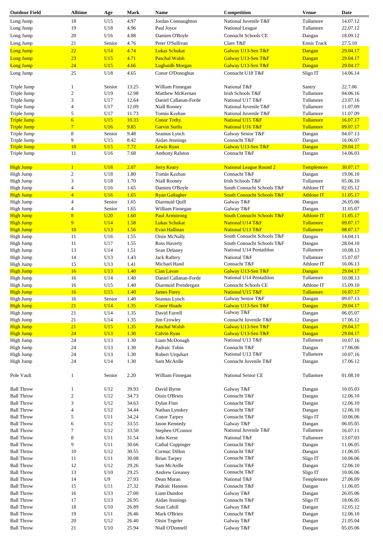| <b>Outdoor Field</b>          | <b>Alltime</b>   | Age                  | <b>Mark</b>  | Name                           | Competition                           | <b>Venue</b>        | Date     |
|-------------------------------|------------------|----------------------|--------------|--------------------------------|---------------------------------------|---------------------|----------|
| Long Jump                     | 18               | U15                  | 4.97         | Jordan Connaughton             | National Juvenile T&F                 | Tullamore           | 14.07.12 |
| Long Jump                     | 19               | U18                  | 4.96         | Paul Joyce                     | National League                       | Tullamore           | 22.07.12 |
| Long Jump                     | 20               | U16                  | 4.88         | Damien O'Boyle                 | Connacht Schools CE                   | Dangan              | 18.09.12 |
|                               | 21               |                      | 4.76         | Peter O'Sullivan               | Clare T&F                             | Ennis Track         | 27.5.10  |
| Long Jump                     |                  | Senior               |              |                                |                                       |                     |          |
| Long Jump                     | 22               | U14                  | 4.74         | <b>Lukas Schukat</b>           | Galway U13-Sen T&F                    | Dangan              | 29.04.17 |
| Long Jump                     | 23               | U15                  | 4.71         | <b>Paschal Walsh</b>           | Galway U13-Sen T&F                    | Dangan              | 29.04.17 |
| <b>Long Jump</b>              | 24               | U15                  | 4.66         | <b>Lughaidh Morgan</b>         | Galway U13-Sen T&F                    | Dangan              | 29.04.17 |
| Long Jump                     | 25               | U18                  | 4.65         | Conor O'Donoghue               | Connacht U18 T&F                      | Sligo IT            | 14.06.14 |
| Triple Jump                   | 1                | Senior               | 13.25        | William Finnegan               | National T&F                          | Santry              | 22.7.06  |
| Triple Jump                   | $\sqrt{2}$       | U19                  | 12.98        | Matthew McKernan               | <b>Irish Schools T&amp;F</b>          | Tullamore           | 04.06.16 |
| Triple Jump                   | 3                | U17                  | 12.64        | Daniel Callanan-Forde          | National U17 T&F                      | Tullamore           | 23.07.16 |
| Triple Jump                   | $\overline{4}$   | U17                  | 12.09        | <b>Niall Rooney</b>            | National Juvenile T&F                 | Tullamore           | 11.07.09 |
| Triple Jump                   | 5                | U17                  | 11.73        | Tomás Keehan                   | National Juvenile T&F                 | Tullamore           | 11.07.09 |
| <b>Triple Jump</b>            | $\overline{6}$   | U15                  | 10.33        | <b>Conor Trehy</b>             | National U15 T&F                      | <b>Tullamore</b>    | 16.07.17 |
| <b>Triple Jump</b>            | $\overline{7}$   | U16                  | 9.85         | <b>Garvin Surlis</b>           | National U16 T&F                      | Tullamore           | 09.07.17 |
| Triple Jump                   | $\,8\,$          | Senior               | 9.48         | Seamus Lynch                   | Galway Senior T&F                     | Dangan              | 04.07.13 |
| Triple Jump                   | 9                | U15                  | 8.42         | Aidan Jennings                 | Connacht T&F                          | Dangan              | 16.06.07 |
| <b>Triple Jump</b>            | 10               | U15                  | 7.72         | Lewis Ryan                     | Galway U13-Sen T&F                    | Dangan              | 29.04.17 |
| Triple Jump                   | 11               | U16                  | 7.68         | <b>Anthony Ralston</b>         | Connacht T&F                          | Dangan              | 14.06.03 |
| <b>High Jump</b>              | $\mathbf{1}$     | <b>U18</b>           | 2.07         | <b>Jerry Keary</b>             | <b>National League Round 2</b>        | Templemore          | 30.07.17 |
| High Jump                     | $\overline{c}$   | U18                  | 1.80         | Tomás Keehan                   | Connacht T&F                          | Dangan              | 19.06.10 |
| High Jump                     | 3                | U18                  | 1.70         | <b>Niall Rooney</b>            | Irish Schools T&F                     | Tullamore           | 05.06.10 |
| High Jump                     | $\overline{4}$   | U16                  | 1.65         | Damien O'Boyle                 | South Connacht Schools T&F            | Athlone IT          | 02.05.12 |
| <b>High Jump</b>              | $\overline{4}$   | U16                  | 1.65         | <b>Ryan Gallagher</b>          | <b>South Connacht Schools T&amp;F</b> | <b>Athlone IT</b>   | 11.05.17 |
| High Jump                     | $\overline{4}$   | Senior               | 1.65         | Diarmuid Quill                 | Galway T&F                            | Dangan              | 26.05.06 |
| High Jump                     | $\overline{4}$   | Senior               | 1.65         | William Finnegan               | Galway T&F                            | Dangan              | 31.05.07 |
| <b>High Jump</b>              | $\overline{8}$   | U20                  | 1.60         | <b>Paul Armstrong</b>          | <b>South Connacht Schools T&amp;F</b> | <b>Athlone IT</b>   | 11.05.17 |
| <b>High Jump</b>              | 9                | U14                  | 1.58         | <b>Lukas Schukat</b>           | National U14 T&F                      | <b>Tullamore</b>    | 09.07.17 |
| <b>High Jump</b>              | 10               | U13                  | 1.56         | <b>Evan Hallinan</b>           | National U13 T&F                      | Tullamore           | 08.07.17 |
| High Jump                     | 11               | U16                  | 1.55         | Oisin McNally                  | South Connacht Schools T&F            | Dangan              | 14.04.11 |
| High Jump                     | 11               | U17                  | 1.55         | <b>Ross Haverty</b>            | South Connacht Schools T&F            | Dangan              | 28.04.10 |
| High Jump                     | 13               | U14                  | 1.51         | Sean Delaney                   | National U14 Pentathlon               | Tullamore           | 10.08.13 |
| High Jump                     | 14               | U13                  | 1.43         | <b>Jack Raftery</b>            | National T&F                          | Tullamore           | 15.07.07 |
| High Jump                     | 15               | U13                  | 1.41         | Michael Hand                   | Connacht T&F                          | Athlone IT          | 16.06.13 |
| <b>High Jump</b>              | 16               | U13                  | 1.40         | <b>Cian Lavan</b>              | Galway U13-Sen T&F                    | Dangan              | 29.04.17 |
| High Jump                     | 16               | U14                  | 1.40         | Daniel Callanan-Forde          | National U14 Pentathlon               | Tullamore           | 10.08.13 |
| High Jump                     | 16               | U15                  | 1.40         | Diarmuid Prendergast           | Connacht Schools CE                   | Athlone IT          | 15.09.10 |
| <b>High Jump</b>              | 16               | U15                  | 1.40         | <b>James Furey</b>             | National U15 T&F                      | <b>Tullamore</b>    | 16.07.17 |
|                               |                  |                      |              | Seamus Lynch                   | Galway Senior T&F                     | Dangan              | 09.07.13 |
| Hıgh Jump<br><b>High Jump</b> | 16<br>21         | Senior<br><b>U14</b> | 1.40<br>1.35 | <b>Conor Hoade</b>             | Galway U13-Sen T&F                    | Dangan              | 29.04.17 |
| High Jump                     | 21               | U14                  | 1.35         | David Farrell                  | Galway T&F                            | Dangan              | 06.05.07 |
| High Jump                     | 21               | U14                  | 1.35         | Jim Crowley                    | Connacht Juvenile T&F                 | Dangan              | 17.06.12 |
| <b>High Jump</b>              | 21               | U15                  | 1.35         | <b>Paschal Walsh</b>           | Galway U13-Sen T&F                    | Dangan              | 29.04.17 |
| <b>High Jump</b>              | 24               | U13                  | 1.30         | <b>Calvin Ryan</b>             | Galway U13-Sen T&F                    | Dangan              | 29.04.17 |
| High Jump                     |                  |                      |              |                                | National U13 T&F                      | Tullamore           | 10.07.16 |
|                               | 24<br>24         | U13                  | 1.30<br>1.30 | Liam McDonagh<br>Padraic Tobin | Connacht T&F                          |                     | 17.06.06 |
| High Jump<br>High Jump        | 24               | U13<br>U13           | 1.30         | Robert Urquhart                | National U13 T&F                      | Dangan<br>Tullamore | 10.07.16 |
|                               | 24               |                      |              |                                |                                       |                     |          |
| High Jump                     |                  | U14                  | 1.30         | Sam McArdle                    | Connacht Juvenile T&F                 | Dangan              | 17.06.12 |
| Pole Vault                    | $\mathbf{1}$     | Senior               | 2.20         | William Finnegan               | National Senior CE                    | Tullamore           | 01.08.10 |
| <b>Ball Throw</b>             | $\mathbf{1}$     | U12                  | 39.93        | David Byrne                    | Galway T&F                            | Dangan              | 10.05.03 |
| <b>Ball Throw</b>             | $\mathfrak{2}$   | U12                  | 34.73        | Oisin O'Brien                  | Connacht T&F                          | Dangan              | 12.06.10 |
| <b>Ball Throw</b>             | $\mathfrak{Z}$   | U12                  | 34.63        | Dylan Finn                     | Connacht T&F                          | Dangan              | 12.06.10 |
| <b>Ball Throw</b>             | $\overline{4}$   | U12                  | 34.44        | Nathan Lynskey                 | Connacht T&F                          | Dangan              | 12.06.10 |
| <b>Ball Throw</b>             | 5                | U11                  | 34.24        | Conor Tarpey                   | Connacht T&F                          | Sligo IT            | 10.06.06 |
| <b>Ball Throw</b>             | 6                | U12                  | 33.55        | Jason Kennedy                  | Galway T&F                            | Dangan              | 06.05.05 |
| <b>Ball Throw</b>             | $\boldsymbol{7}$ | U12                  | 33.50        | Stephen O'Connor               | National Juvenile T&F                 | Tullamore           | 16.07.11 |
| <b>Ball Throw</b>             | $\,$ 8 $\,$      | U11                  | 31.54        | John Kerse                     | National T&F                          | Tullamore           | 13.07.03 |
| <b>Ball Throw</b>             | 9                | U11                  | 30.66        | Cathal Coppinger               | Connacht T&F                          | Dangan              | 11.06.05 |
| <b>Ball Throw</b>             | 10               | U12                  | 30.55        | Cormac Dillon                  | Connacht T&F                          | Dangan              | 11.06.05 |
| <b>Ball Throw</b>             | 11               | U11                  | 30.08        | <b>Brian Tarpey</b>            | Connacht T&F                          | Sligo IT            | 10.06.06 |
| <b>Ball Throw</b>             | 12               | U12                  | 29.26        | Sam McArdle                    | Connacht T&F                          | Dangan              | 12.06.10 |
| <b>Ball Throw</b>             | 13               | U10                  | 29.25        | Andrew Greaney                 | Connacht T&F                          | Sligo IT            | 10.06.06 |
| <b>Ball Throw</b>             | 14               | U <sub>9</sub>       | 27.93        | Dean Moran                     | National T&F                          | Templemore          | 27.06.09 |
| <b>Ball Throw</b>             | 15               | U11                  | 27.32        | Padraic Hannon                 | Connacht T&F                          | Dangan              | 11.06.05 |
| <b>Ball Throw</b>             | 16               | U13                  | 27.00        | Liam Dundon                    | Galway T&F                            | Dangan              | 26.05.06 |
|                               | 17               |                      |              |                                |                                       |                     |          |
| <b>Ball Throw</b>             |                  | U13                  | 26.95        | Aidan Jennings                 | Connacht T&F                          | Sligo IT            | 18.06.05 |
| <b>Ball Throw</b>             | 18               | U10                  | 26.89        | Sean Cahill                    | Galway T&F                            | Dangan              | 12.05.12 |
| <b>Ball Throw</b>             | 19               | U11                  | 26.46        | Mark O'Brien                   | Connacht T&F                          | Dangan              | 12.06.10 |
| <b>Ball Throw</b>             | 20               | U12                  | 26.40        | Oisin Tegeler                  | Galway T&F                            | Dangan              | 21.05.04 |
| <b>Ball Throw</b>             | 21               | U10                  | 25.94        | Niall O'Donnell                | Galway T&F                            | Dangan              | 05.05.06 |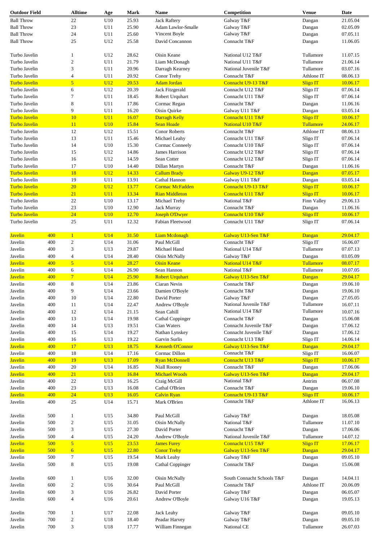| <b>Outdoor Field</b> |     | <b>Alltime</b>          | Age | Mark  | Name                    | Competition                | <b>Venue</b>      | Date     |
|----------------------|-----|-------------------------|-----|-------|-------------------------|----------------------------|-------------------|----------|
| <b>Ball Throw</b>    |     | 22                      | U10 | 25.93 | <b>Jack Raftery</b>     | Galway T&F                 | Dangan            | 21.05.04 |
| <b>Ball Throw</b>    |     | 23                      | U11 | 25.90 | Adam Lawlor-Smalle      | Galway T&F                 | Dangan            | 02.05.09 |
| <b>Ball Throw</b>    |     | 24                      | U11 | 25.60 | Vincent Boyle           | Galway T&F                 | Dangan            | 07.05.11 |
| <b>Ball Throw</b>    |     | 25                      | U12 | 25.58 | David Concannon         | Connacht T&F               | Dangan            | 11.06.05 |
|                      |     |                         |     |       |                         |                            |                   |          |
| Turbo Javelin        |     | 1                       | U12 | 28.62 | Oisin Keane             | National U12 T&F           | Tullamore         | 11.07.15 |
| Turbo Javelin        |     | $\overline{\mathbf{c}}$ | U11 | 21.79 | Liam McDonagh           | National U11 T&F           | Tullamore         | 21.06.14 |
| Turbo Javelin        |     | 3                       | U11 | 20.96 | Darragh Kearney         | National Juvenile T&F      | Tullamore         | 03.07.16 |
| Turbo Javelin        |     | $\overline{4}$          | U11 | 20.92 | Conor Trehy             | Connacht T&F               | Athlone IT        | 08.06.13 |
| Turbo Javelin        |     | 5                       | U12 | 20.53 | <b>Adam Jordan</b>      | Connacht U9-13 T&F         | <b>Sligo IT</b>   | 10.06.17 |
| Turbo Javelin        |     | 6                       | U12 | 20.39 | Jack Fitzgerald         | Connacht U12 T&F           | Sligo IT          | 07.06.14 |
| Turbo Javelin        |     | 7                       | U11 | 18.45 | Robert Urquhart         | Connacht U11 T&F           | Sligo IT          | 07.06.14 |
| Turbo Javelin        |     | 8                       | U11 | 17.86 | Cormac Regan            | Connacht T&F               | Dangan            | 11.06.16 |
| Turbo Javelin        |     | 9                       | U11 | 16.20 | Oisin Quirke            | Galway U11 T&F             | Dangan            | 03.05.14 |
| Turbo Javelin        |     | 10                      | U11 | 16.07 | Darragh Kelly           | Connacht U11 T&F           | <b>Sligo IT</b>   | 10.06.17 |
| Turbo Javelin        |     | 11                      | U10 | 15.84 | <b>Sean Hoade</b>       | National U10 T&F           | Tullamore         | 24.06.17 |
| Turbo Javelin        |     | 12                      | U12 | 15.51 | <b>Conor Roberts</b>    | Connacht T&F               | Athlone IT        | 08.06.13 |
| Turbo Javelin        |     | 13                      | U11 | 15.46 | Michael Leahy           | Connacht U11 T&F           | Sligo IT          | 07.06.14 |
| Turbo Javelin        |     | 14                      | U10 | 15.30 | Cormac Conneely         | Connacht U10 T&F           | Sligo IT          | 07.06.14 |
| Turbo Javelin        |     | 15                      | U12 | 14.86 | James Harrison          | Connacht U12 T&F           | Sligo IT          | 07.06.14 |
| Turbo Javelin        |     | 16                      | U12 | 14.59 | Sean Cotter             | Connacht U12 T&F           | Sligo IT          | 07.06.14 |
| Turbo Javelin        |     | 17                      | U10 | 14.40 | Dillan Martyn           | Connacht T&F               | Dangan            | 11.06.16 |
| Turbo Javelin        |     | 18                      | U12 | 14.33 | <b>Callum Brady</b>     | Galway U9-12 T&F           | Dangan            | 07.05.17 |
| Turbo Javelin        |     | 19                      | U11 | 13.91 | Cathal Hannon           | Galway U11 T&F             | Dangan            | 03.05.14 |
| <b>Turbo Javelin</b> |     | 20                      | U12 | 13.77 | <b>Cormac McFadden</b>  | Connacht U9-13 T&F         | <b>Sligo IT</b>   | 10.06.17 |
| <b>Turbo Javelin</b> |     | 21                      | U11 | 13.34 | <b>Rian Middleton</b>   | Connacht U11 T&F           | <b>Sligo IT</b>   | 10.06.17 |
| Turbo Javelin        |     | 22                      | U10 | 13.17 | Michael Trehy           | National T&F               | Finn Valley       | 29.06.13 |
| Turbo Javelin        |     | 23                      | U10 | 12.90 | Jack Murray             | Connacht T&F               | Dangan            | 11.06.16 |
| Turbo Javelin        |     | 24                      | U10 | 12.70 | <b>Joseph O'Dwyer</b>   | Connacht U10 T&F           | <b>Sligo IT</b>   | 10.06.17 |
| Turbo Javelin        |     | 25                      | U11 | 12.32 | Fabian Fleetwood        | Connacht U11 T&F           | Sligo IT          | 07.06.14 |
|                      |     |                         |     |       |                         |                            |                   |          |
| <b>Javelin</b>       | 400 | $\mathbf{1}$            | U14 | 31.50 | <b>Liam Mcdonagh</b>    | Galway U13-Sen T&F         | Dangan            | 29.04.17 |
| Javelin              | 400 | $\boldsymbol{2}$        | U14 | 31.06 | Paul McGill             | Connacht T&F               | Sligo IT          | 16.06.07 |
| Javelin              | 400 | 3                       | U13 | 29.87 | Michael Hand            | National U14 T&F           | Tullamore         | 07.07.13 |
| Javelin              | 400 | $\overline{4}$          | U14 | 28.40 | Oisin McNally           | Galway T&F                 | Dangan            | 03.05.09 |
| <b>Javelin</b>       | 400 | 5                       | U14 | 28.27 | <b>Oisin Keane</b>      | National U14 T&F           | <b>Tullamore</b>  | 08.07.17 |
| Javelin              | 400 | 6                       | U14 | 26.90 | Sean Hannon             | National T&F               | Tullamore         | 10.07.05 |
| <b>Javelin</b>       | 400 | $7\phantom{.0}$         | U14 | 25.90 | <b>Robert Urquhart</b>  | Galway U13-Sen T&F         | Dangan            | 29.04.17 |
| Javelin              | 400 | 8                       | U14 | 23.86 | Ciaran Nevin            | Connacht T&F               | Dangan            | 19.06.10 |
| Javelin              | 400 | 9                       | U14 | 23.66 | Damien O'Boyle          | Connacht T&F               | Dangan            | 19.06.10 |
| Javelin              | 400 | $10\,$                  | U14 | 22.80 | David Porter            | Galway T&F                 | $\mathbf{D}angan$ | 27.05.05 |
| Javelin              | 400 | 11                      | U14 | 22.47 | Andrew O'Boyle          | National Juvenile T&F      | Tullamore         | 16.07.11 |
| Javelin              | 400 | 12                      | U14 | 21.15 | Sean Cahill             | National U14 T&F           | Tullamore         | 10.07.16 |
| Javelin              | 400 | 13                      | U14 | 19.98 | Cathal Coppinger        | Connacht T&F               | Dangan            | 15.06.08 |
| Javelin              | 400 | 14                      | U13 | 19.51 | Cian Waters             | Connacht Juvenile T&F      | Dangan            | 17.06.12 |
| Javelin              | 400 | 15                      | U14 | 19.27 | Nathan Lynskey          | Connacht Juvenile T&F      | Dangan            | 17.06.12 |
| Javelin              | 400 | 16                      | U13 | 19.22 | Garvin Surlis           | Connacht U13 T&F           | Sligo IT          | 14.06.14 |
| <b>Javelin</b>       | 400 | 17                      | U13 | 18.75 | <b>Kenneth O'Connor</b> | Galway U13-Sen T&F         | Dangan            | 29.04.17 |
| Javelin              | 400 | 18                      | U14 | 17.16 | Cormac Dillon           | Connacht T&F               | Sligo IT          | 16.06.07 |
| <b>Javelin</b>       | 400 | 19                      | U13 | 17.09 | <b>Ryan McDonnell</b>   | Connacht U13 T&F           | <b>Sligo IT</b>   | 10.06.17 |
| Javelin              | 400 | 20                      | U14 | 16.85 | Niall Rooney            | Connacht T&F               | Dangan            | 17.06.06 |
| <b>Javelin</b>       | 400 | 21                      | U13 | 16.84 | <b>Michael Woods</b>    | Galway U13-Sen T&F         | Dangan            | 29.04.17 |
| Javelin              | 400 | 22                      | U13 | 16.25 | Craig McGill            | National T&F               | Antrim            | 06.07.08 |
| Javelin              | 400 | 23                      | U13 | 16.08 | Cathal O'Brien          | Connacht T&F               | Dangan            | 19.06.10 |
| <b>Javelin</b>       | 400 | 24                      | U13 | 16.05 | <b>Calvin Ryan</b>      | Connacht U9-13 T&F         | Sligo IT          | 10.06.17 |
| Javelin              | 400 | 25                      | U14 | 15.71 | Mark O'Brien            | Connacht T&F               | Athlone IT        | 16.06.13 |
|                      |     |                         |     |       |                         |                            |                   |          |
| Javelin              | 500 | 1                       | U15 | 34.80 | Paul McGill             | Galway T&F                 | Dangan            | 18.05.08 |
| Javelin              | 500 | 2                       | U15 | 31.05 | Oisin McNally           | National T&F               | Tullamore         | 11.07.10 |
| Javelin              | 500 | 3                       | U15 | 27.30 | David Porter            | Connacht T&F               | Dangan            | 17.06.06 |
| Javelin              | 500 | $\overline{4}$          | U15 | 24.20 | Andrew O'Boyle          | National Juvenile T&F      | Tullamore         | 14.07.12 |
| <b>Javelin</b>       | 500 | 5                       | U15 | 23.53 | <b>James Furey</b>      | Connacht U15 T&F           | <b>Sligo IT</b>   | 17.06.17 |
| <b>Javelin</b>       | 500 | 6                       | U15 | 22.80 | <b>Conor Trehy</b>      | Galway U13-Sen T&F         | Dangan            | 29.04.17 |
| Javelin              | 500 | 7                       | U15 | 19.54 | Mark Leahy              | Galway T&F                 | Dangan            | 09.05.10 |
| Javelin              | 500 | 8                       | U15 | 19.08 | Cathal Coppinger        | Connacht T&F               | Dangan            | 15.06.08 |
|                      |     |                         |     |       |                         |                            |                   |          |
| Javelin              | 600 | 1                       | U16 | 32.00 | Oisin McNally           | South Connacht Schools T&F | Dangan            | 14.04.11 |
| Javelin              | 600 | $\overline{c}$          | U16 | 30.64 | Paul McGill             | Connacht T&F               | Athlone IT        | 20.06.09 |
| Javelin              | 600 | 3                       | U16 | 26.82 | David Porter            | Galway T&F                 | Dangan            | 06.05.07 |
| Javelin              | 600 | $\overline{4}$          | U16 | 20.61 | Andrew O'Boyle          | Galway U16 T&F             | Dangan            | 19.05.13 |
|                      |     |                         |     |       |                         |                            |                   |          |
| Javelin              | 700 | 1                       | U17 | 22.08 | Jack Leahy              | Galway T&F                 | Dangan            | 09.05.10 |
| Javelin              | 700 | $\boldsymbol{2}$        | U18 | 18.40 | Peadar Harvey           | Galway T&F                 | Dangan            | 09.05.10 |
| Javelin              | 700 | 3                       | U18 | 17.77 | William Finnegan        | National CE                | Tullamore         | 26.07.03 |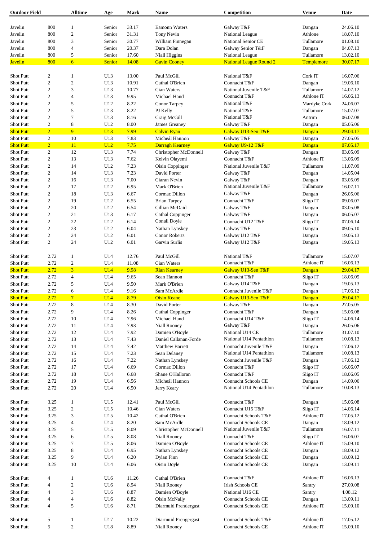| <b>Outdoor Field</b> |                  | <b>Alltime</b>  | Age        | Mark  | Name                   | Competition                    | <b>Venue</b> | Date     |
|----------------------|------------------|-----------------|------------|-------|------------------------|--------------------------------|--------------|----------|
|                      |                  |                 |            |       |                        |                                |              |          |
| Javelin              | 800              | $\mathbf{1}$    | Senior     | 33.17 | <b>Eamonn Waters</b>   | Galway T&F                     | Dangan       | 24.06.10 |
| Javelin              | 800              | $\overline{2}$  | Senior     | 31.31 | Tony Nevin             | National League                | Athlone      | 18.07.10 |
| Javelin              | 800              | 3               | Senior     | 30.77 | William Finnegan       | National Senior CE             | Tullamore    | 01.08.10 |
| Javelin              | 800              | $\overline{4}$  | Senior     | 20.37 | Dara Dolan             | Galway Senior T&F              | Dangan       | 04.07.13 |
| Javelin              | 800              | $\sqrt{5}$      | Senior     | 17.60 | <b>Niall Higgins</b>   | National League                | Tullamore    | 13.02.10 |
| <b>Javelin</b>       | 800              | 6               | Senior     | 14.08 | <b>Gavin Cooney</b>    | <b>National League Round 2</b> | Templemore   | 30.07.17 |
|                      |                  |                 |            |       |                        |                                |              |          |
| <b>Shot Putt</b>     | 2                | $\mathbf{1}$    | U13        | 13.00 | Paul McGill            | National T&F                   | Cork IT      | 16.07.06 |
| Shot Putt            | $\mathbf{2}$     | $\sqrt{2}$      | U13        | 10.91 | Cathal O'Brien         | Connacht T&F                   | Dangan       | 19.06.10 |
| Shot Putt            | $\overline{c}$   | 3               | U13        | 10.77 | Cian Waters            | National Juvenile T&F          | Tullamore    | 14.07.12 |
| Shot Putt            | $\mathbf{2}$     | $\overline{4}$  | U13        | 9.95  | Michael Hand           | Connacht T&F                   | Athlone IT   | 16.06.13 |
| Shot Putt            | $\overline{c}$   | 5               | U12        | 8.22  | Conor Tarpey           | National T&F                   | Mardyke Cork | 24.06.07 |
| Shot Putt            | $\overline{c}$   | 5               | U13        | 8.22  | PJ Kelly               | National T&F                   | Tullamore    | 15.07.07 |
| Shot Putt            | $\overline{c}$   | $\overline{7}$  | U13        | 8.16  | Craig McGill           | National T&F                   | Antrim       | 06.07.08 |
| Shot Putt            | $\mathbf{2}$     | $\,$ 8 $\,$     | U12        | 8.00  | James Greaney          | Galway T&F                     |              | 05.05.06 |
|                      |                  | 9               |            |       |                        |                                | Dangan       |          |
| <b>Shot Putt</b>     | $\overline{2}$   |                 | U13        | 7.99  | <b>Calvin Ryan</b>     | Galway U13-Sen T&F             | Dangan       | 29.04.17 |
| Shot Putt            | 2                | 10              | U13        | 7.83  | Micheál Hannon         | Galway T&F                     | Dangan       | 27.05.05 |
| <b>Shot Putt</b>     | $\overline{2}$   | 11              | <b>U12</b> | 7.75  | <b>Darragh Kearney</b> | Galway U9-12 T&F               | Dangan       | 07.05.17 |
| Shot Putt            | $\overline{2}$   | 12              | U13        | 7.74  | Christopher McDonnell  | Galway T&F                     | Dangan       | 03.05.09 |
| Shot Putt            | $\mathbf{2}$     | 13              | U13        | 7.62  | Kelvin Olayemi         | Connacht T&F                   | Athlone IT   | 13.06.09 |
| Shot Putt            | $\mathbf{2}$     | 14              | U12        | 7.23  | Oisin Coppinger        | National Juvenile T&F          | Tullamore    | 11.07.09 |
| <b>Shot Putt</b>     | $\overline{c}$   | 14              | U13        | 7.23  | David Porter           | Galway T&F                     | Dangan       | 14.05.04 |
| <b>Shot Putt</b>     | $\overline{c}$   | 16              | U13        | 7.00  | Ciaran Nevin           | Galway T&F                     | Dangan       | 03.05.09 |
| Shot Putt            | $\boldsymbol{2}$ | 17              | U12        | 6.95  | Mark O'Brien           | National Juvenile T&F          | Tullamore    | 16.07.11 |
| Shot Putt            | $\overline{c}$   | 18              | U13        | 6.67  | Cormac Dillon          | Galway T&F                     |              | 26.05.06 |
|                      |                  |                 |            |       |                        |                                | Dangan       |          |
| Shot Putt            | $\boldsymbol{2}$ | 19              | U12        | 6.55  | <b>Brian Tarpey</b>    | Connacht T&F                   | Sligo IT     | 09.06.07 |
| <b>Shot Putt</b>     | $\overline{c}$   | 20              | U12        | 6.54  | Cillian McDaid         | Galway T&F                     | Dangan       | 03.05.08 |
| <b>Shot Putt</b>     | $\overline{c}$   | 21              | U13        | 6.17  | Cathal Coppinger       | Galway T&F                     | Dangan       | 06.05.07 |
| Shot Putt            | $\mathbf{2}$     | 22              | U12        | 6.14  | Conall Doyle           | Connacht U12 T&F               | Sligo IT     | 07.06.14 |
| Shot Putt            | $\overline{c}$   | 23              | U12        | 6.04  | Nathan Lynskey         | Galway T&F                     | Dangan       | 09.05.10 |
| Shot Putt            | $\mathbf{2}$     | 24              | U12        | 6.01  | <b>Conor Roberts</b>   | Galway U12 T&F                 | Dangan       | 19.05.13 |
| Shot Putt            | $\overline{c}$   | 24              | U12        | 6.01  | Garvin Surlis          | Galway U12 T&F                 | Dangan       | 19.05.13 |
|                      |                  |                 |            |       |                        |                                |              |          |
| <b>Shot Putt</b>     | 2.72             | -1              | U14        | 12.76 | Paul McGill            | National T&F                   | Tullamore    | 15.07.07 |
| Shot Putt            | 2.72             | $\overline{2}$  | U14        | 11.08 | Cian Waters            | Connacht T&F                   | Athlone IT   | 16.06.13 |
| <b>Shot Putt</b>     | 2.72             | $\overline{3}$  | U14        | 9.98  | <b>Rian Kearney</b>    | Galway U13-Sen T&F             | Dangan       | 29.04.17 |
| <b>Shot Putt</b>     | 2.72             | $\overline{4}$  | U14        | 9.65  | Sean Hannon            | Connacht T&F                   | Sligo IT     | 18.06.05 |
| Shot Putt            | 2.72             | $\sqrt{5}$      | U14        | 9.50  | Mark O'Brien           | Galway U14 T&F                 | Dangan       | 19.05.13 |
| <b>Shot Putt</b>     | 2.72             | 6               | U14        | 9.16  | Sam McArdle            | Connacht Juvenile T&F          | Dangan       | 17.06.12 |
|                      | 2.72             | $7\phantom{.0}$ | UI4        | 8.79  | <b>Oisin Keane</b>     | Galway U13-Sen T&F             | Dangan       | 29.04.17 |
| <b>Shot Putt</b>     |                  |                 |            |       |                        |                                |              |          |
| Shot Putt            | 2.72             | $\,8\,$         | U14        | 8.30  | David Porter           | Galway T&F                     | Dangan       | 27.05.05 |
| Shot Putt            | 2.72             | 9               | U14        | 8.26  | Cathal Coppinger       | Connacht T&F                   | Dangan       | 15.06.08 |
| Shot Putt            | 2.72             | 10              | U14        | 7.96  | Michael Hand           | Connacht U14 T&F               | Sligo IT     | 14.06.14 |
| <b>Shot Putt</b>     | 2.72             | 11              | U14        | 7.93  | <b>Niall Rooney</b>    | Galway T&F                     | Dangan       | 26.05.06 |
| Shot Putt            | 2.72             | 12              | U14        | 7.92  | Damien O'Boyle         | National U14 CE                | Tullamore    | 31.07.10 |
| Shot Putt            | 2.72             | 13              | U14        | 7.43  | Daniel Callanan-Forde  | National U14 Pentathlon        | Tullamore    | 10.08.13 |
| Shot Putt            | 2.72             | 14              | U14        | 7.42  | <b>Matthew Barrett</b> | Connacht Juvenile T&F          | Dangan       | 17.06.12 |
| Shot Putt            | 2.72             | 15              | U14        | 7.23  | Sean Delaney           | National U14 Pentathlon        | Tullamore    | 10.08.13 |
| Shot Putt            | 2.72             | 16              | U14        | 7.22  | Nathan Lynskey         | Connacht Juvenile T&F          | Dangan       | 17.06.12 |
| Shot Putt            | 2.72             | 17              | U14        | 6.69  | Cormac Dillon          | Connacht T&F                   | Sligo IT     | 16.06.07 |
|                      | 2.72             |                 |            |       | Shane O'Halloran       | Connacht T&F                   |              |          |
| Shot Putt            |                  | 18              | U14        | 6.68  |                        |                                | Sligo IT     | 18.06.05 |
| Shot Putt            | 2.72             | 19              | U14        | 6.56  | Micheál Hannon         | Connacht Schools CE            | Dangan       | 14.09.06 |
| Shot Putt            | 2.72             | 20              | U14        | 6.50  | Jerry Keary            | National U14 Pentathlon        | Tullamore    | 10.08.13 |
|                      |                  |                 |            |       |                        |                                |              |          |
| Shot Putt            | 3.25             | $\mathbf{1}$    | U15        | 12.41 | Paul McGill            | Connacht T&F                   | Dangan       | 15.06.08 |
| Shot Putt            | 3.25             | $\overline{2}$  | U15        | 10.46 | Cian Waters            | Connacht U15 T&F               | Sligo IT     | 14.06.14 |
| Shot Putt            | 3.25             | 3               | U15        | 10.42 | Cathal O'Brien         | Connacht Schools T&F           | Athlone IT   | 17.05.12 |
| Shot Putt            | 3.25             | $\overline{4}$  | U14        | 8.20  | Sam McArdle            | <b>Connacht Schools CE</b>     | Dangan       | 18.09.12 |
| Shot Putt            | 3.25             | $\sqrt{5}$      | U15        | 8.09  | Christopher McDonnell  | National Juvenile T&F          | Tullamore    | 16.07.11 |
| Shot Putt            | 3.25             | 6               | U15        | 8.08  | <b>Niall Rooney</b>    | Connacht T&F                   | Sligo IT     | 16.06.07 |
| Shot Putt            | 3.25             | 7               | U15        | 8.06  | Damien O'Boyle         | <b>Connacht Schools CE</b>     | Athlone IT   | 15.09.10 |
| Shot Putt            | 3.25             | 8               | U14        | 6.95  | Nathan Lynskey         | Connacht Schools CE            | Dangan       | 18.09.12 |
| Shot Putt            | 3.25             | 9               | U14        | 6.20  | Dylan Finn             | Connacht Schools CE            | Dangan       | 18.09.12 |
| Shot Putt            | 3.25             | 10              | U14        | 6.06  | Oisin Doyle            | <b>Connacht Schools CE</b>     | Dangan       | 13.09.11 |
|                      |                  |                 |            |       |                        |                                |              |          |
| Shot Putt            | 4                | $\mathbf{1}$    | U16        | 11.26 | Cathal O'Brien         | Connacht T&F                   | Athlone IT   | 16.06.13 |
| Shot Putt            | 4                | $\sqrt{2}$      | U16        | 8.94  | Niall Rooney           | <b>Irish Schools CE</b>        | Santry       | 27.09.08 |
|                      |                  |                 |            |       |                        |                                |              |          |
| Shot Putt            | 4                | $\mathfrak{Z}$  | U16        | 8.87  | Damien O'Boyle         | National U16 CE                | Santry       | 4.08.12  |
| Shot Putt            | 4                | $\overline{4}$  | U16        | 8.82  | Oisin McNally          | Connacht Schools CE            | Dangan       | 13.09.11 |
| Shot Putt            | 4                | $\sqrt{5}$      | U16        | 8.71  | Diarmuid Prendergast   | Connacht Schools CE            | Athlone IT   | 15.09.10 |
|                      |                  |                 |            |       |                        |                                |              |          |
| Shot Putt            | 5                | $\mathbf{1}$    | U17        | 10.22 | Diarmuid Prengergast   | Connacht Schools T&F           | Athlone IT   | 17.05.12 |
| Shot Putt            | 5                | $\sqrt{2}$      | U18        | 8.89  | Niall Rooney           | Connacht Schools CE            | Athlone IT   | 15.09.10 |